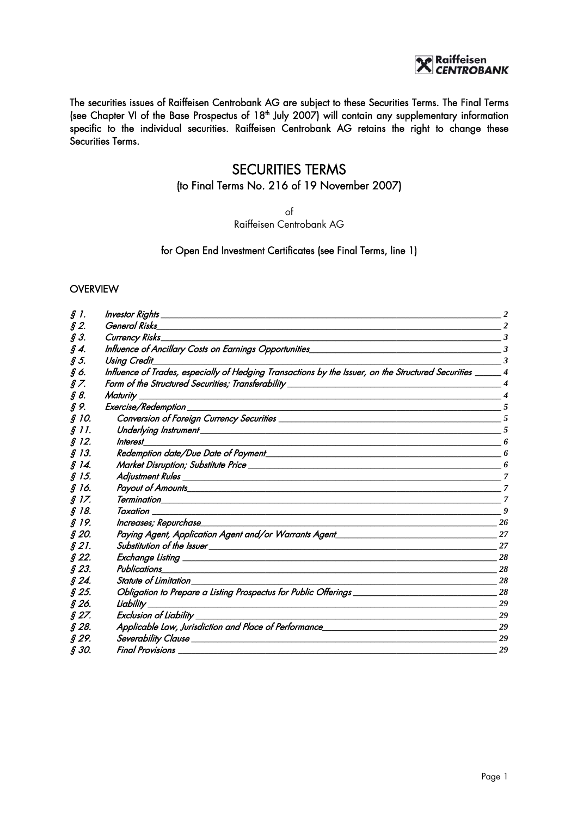# e Raiffeisen<br>C*ENTROBANK*

The securities issues of Raiffeisen Centrobank AG are subject to these Securities Terms. The Final Terms (see Chapter VI of the Base Prospectus of 18<sup>th</sup> July 2007) will contain any supplementary information specific to the individual securities. Raiffeisen Centrobank AG retains the right to change these Securities Terms.

# SECURITIES TERMS

# (to Final Terms No. 216 of 19 November 2007)

of

Raiffeisen Centrobank AG

#### for Open End Investment Certificates (see Final Terms, line 1)

#### **OVERVIEW**

| $\mathcal{S}$ 1. | <b>Investor Rights</b>                                                                                                                        | $\overline{2}$         |
|------------------|-----------------------------------------------------------------------------------------------------------------------------------------------|------------------------|
| $\hat{S}$ 2.     | <b>General Risks</b>                                                                                                                          |                        |
| $\oint 3.$       | <b>Currency Risks</b>                                                                                                                         | 3                      |
| § 4.             | Influence of Ancillary Costs on Earnings Opportunities_<br>$\overline{\phantom{a}3}$                                                          |                        |
| $\mathcal{S}$ 5. | <b>Using Credit</b>                                                                                                                           | $\mathbf{3}$           |
| §6.              | Influence of Trades, especially of Hedging Transactions by the Issuer, on the Structured Securities _____ 4                                   |                        |
| 8 Z.             | Form of the Structured Securities; Transferability _____________________________                                                              | $\boldsymbol{\Lambda}$ |
| § 8.             | <b>Maturity</b>                                                                                                                               | $\boldsymbol{4}$       |
| § 9.             | Exercise/Redemption<br>and the control of the control of the control of the control of the control of the control of the control of the       | - 5                    |
| § 10.            |                                                                                                                                               | .5                     |
| § 11.            | Underlying Instrument<br><u> 2000 - 2000 - 2000 - 2000 - 2000 - 2000 - 2000 - 2000 - 2000 - 2000 - 2000 - 2000 - 2000 - 2000 - 2000 - 200</u> |                        |
| \$ 12.           | Interest<br>and the control of the control of the control of the control of the control of the control of the control of the                  | 6                      |
| § 13.            |                                                                                                                                               | 6                      |
| § 14.            |                                                                                                                                               | 6                      |
| § 15.            |                                                                                                                                               | $\overline{7}$         |
| § 16.            |                                                                                                                                               | -7                     |
| § 17.            |                                                                                                                                               | $\overline{7}$         |
| § 18.            | Taxation                                                                                                                                      | 9                      |
| § 19.            | Increases; Repurchase_                                                                                                                        | 26                     |
| § 20.            | Paying Agent, Application Agent and/or Warrants Agent___________________________                                                              | 27                     |
| § 21.            |                                                                                                                                               | 27                     |
| \$22.            |                                                                                                                                               | 28                     |
| § 23.            | Publications<br><u> 1989 - Johann Stoff, amerikansk politiker (* 1908)</u>                                                                    | 28                     |
| $\hat{S}$ 24.    | Statute of Limitation                                                                                                                         | 28                     |
| § 25.            | Obligation to Prepare a Listing Prospectus for Public Offerings ________________                                                              | 28                     |
| § 26.            | Liability                                                                                                                                     | 29                     |
| $§$ 27.          | <b>Exclusion of Liability</b><br>the contract of the contract of the contract of the contract of the contract of                              | 29                     |
| § 28.            | Applicable Law, Jurisdiction and Place of Performance_                                                                                        | 29                     |
| § 29.            |                                                                                                                                               | 29                     |
| § 30.            | <b>Final Provisions</b>                                                                                                                       | 29                     |
|                  |                                                                                                                                               |                        |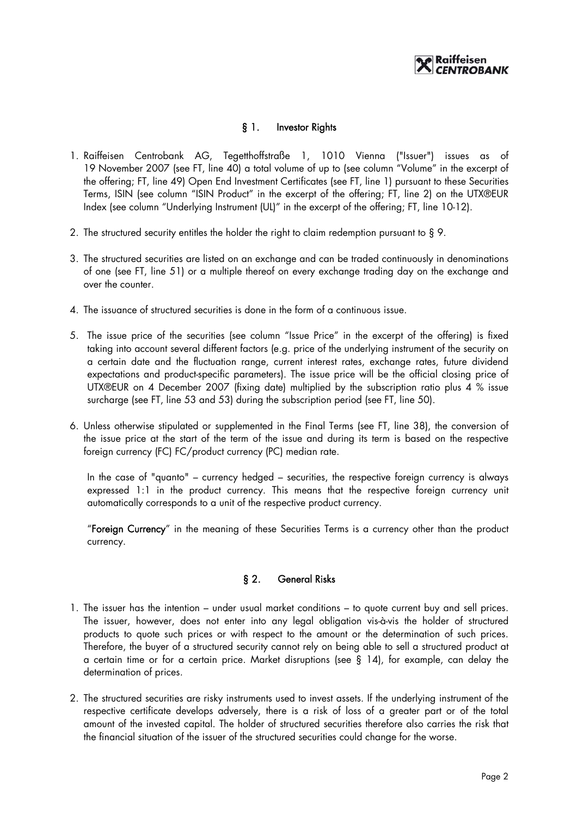# § 1. Investor Rights

- 1. Raiffeisen Centrobank AG, Tegetthoffstraße 1, 1010 Vienna ("Issuer") issues as of 19 November 2007 (see FT, line 40) a total volume of up to (see column "Volume" in the excerpt of the offering; FT, line 49) Open End Investment Certificates (see FT, line 1) pursuant to these Securities Terms, ISIN (see column "ISIN Product" in the excerpt of the offering; FT, line 2) on the UTX®EUR Index (see column "Underlying Instrument (UL)" in the excerpt of the offering; FT, line 10-12).
- 2. The structured security entitles the holder the right to claim redemption pursuant to § 9.
- 3. The structured securities are listed on an exchange and can be traded continuously in denominations of one (see FT, line 51) or a multiple thereof on every exchange trading day on the exchange and over the counter.
- 4. The issuance of structured securities is done in the form of a continuous issue.
- 5. The issue price of the securities (see column "Issue Price" in the excerpt of the offering) is fixed taking into account several different factors (e.g. price of the underlying instrument of the security on a certain date and the fluctuation range, current interest rates, exchange rates, future dividend expectations and product-specific parameters). The issue price will be the official closing price of UTX®EUR on 4 December 2007 (fixing date) multiplied by the subscription ratio plus 4 % issue surcharge (see FT, line 53 and 53) during the subscription period (see FT, line 50).
- 6. Unless otherwise stipulated or supplemented in the Final Terms (see FT, line 38), the conversion of the issue price at the start of the term of the issue and during its term is based on the respective foreign currency (FC) FC/product currency (PC) median rate.

In the case of "quanto" – currency hedged – securities, the respective foreign currency is always expressed 1:1 in the product currency. This means that the respective foreign currency unit automatically corresponds to a unit of the respective product currency.

"Foreign Currency" in the meaning of these Securities Terms is a currency other than the product currency.

# § 2. General Risks

- 1. The issuer has the intention under usual market conditions to quote current buy and sell prices. The issuer, however, does not enter into any legal obligation vis-à-vis the holder of structured products to quote such prices or with respect to the amount or the determination of such prices. Therefore, the buyer of a structured security cannot rely on being able to sell a structured product at a certain time or for a certain price. Market disruptions (see § 14), for example, can delay the determination of prices.
- 2. The structured securities are risky instruments used to invest assets. If the underlying instrument of the respective certificate develops adversely, there is a risk of loss of a greater part or of the total amount of the invested capital. The holder of structured securities therefore also carries the risk that the financial situation of the issuer of the structured securities could change for the worse.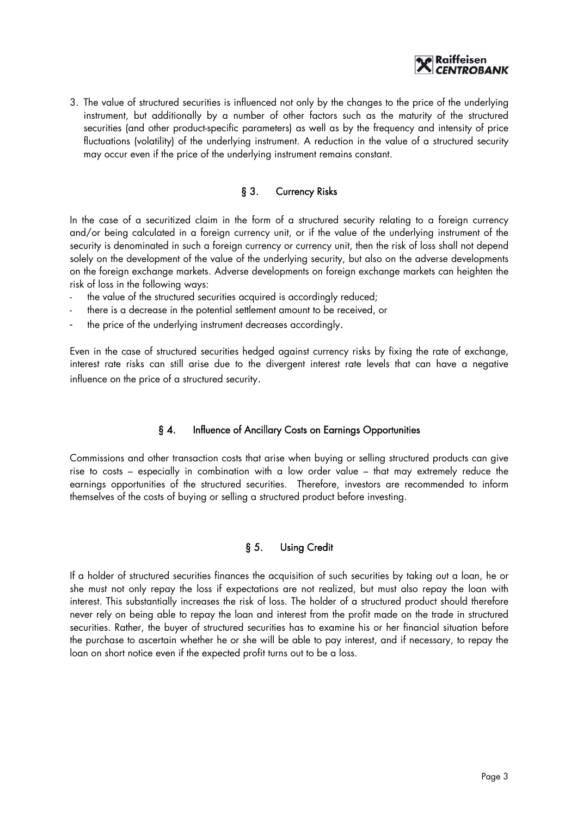

3. The value of structured securities is influenced not only by the changes to the price of the underlying instrument, but additionally by a number of other factors such as the maturity of the structured securities (and other product-specific parameters) as well as by the frequency and intensity of price fluctuations (volatility) of the underlying instrument. A reduction in the value of a structured security may occur even if the price of the underlying instrument remains constant.

# § 3. Currency Risks

In the case of a securitized claim in the form of a structured security relating to a foreign currency and/or being calculated in a foreign currency unit, or if the value of the underlying instrument of the security is denominated in such a foreign currency or currency unit, then the risk of loss shall not depend solely on the development of the value of the underlying security, but also on the adverse developments on the foreign exchange markets. Adverse developments on foreign exchange markets can heighten the risk of loss in the following ways:

- the value of the structured securities acquired is accordingly reduced;
- there is a decrease in the potential settlement amount to be received, or
- the price of the underlying instrument decreases accordingly.

Even in the case of structured securities hedged against currency risks by fixing the rate of exchange, interest rate risks can still arise due to the divergent interest rate levels that can have a negative influence on the price of a structured security.

# § 4. Influence of Ancillary Costs on Earnings Opportunities

Commissions and other transaction costs that arise when buying or selling structured products can give rise to costs – especially in combination with a low order value – that may extremely reduce the earnings opportunities of the structured securities. Therefore, investors are recommended to inform themselves of the costs of buying or selling a structured product before investing.

# § 5. Using Credit

If a holder of structured securities finances the acquisition of such securities by taking out a loan, he or she must not only repay the loss if expectations are not realized, but must also repay the loan with interest. This substantially increases the risk of loss. The holder of a structured product should therefore never rely on being able to repay the loan and interest from the profit made on the trade in structured securities. Rather, the buyer of structured securities has to examine his or her financial situation before the purchase to ascertain whether he or she will be able to pay interest, and if necessary, to repay the loan on short notice even if the expected profit turns out to be a loss.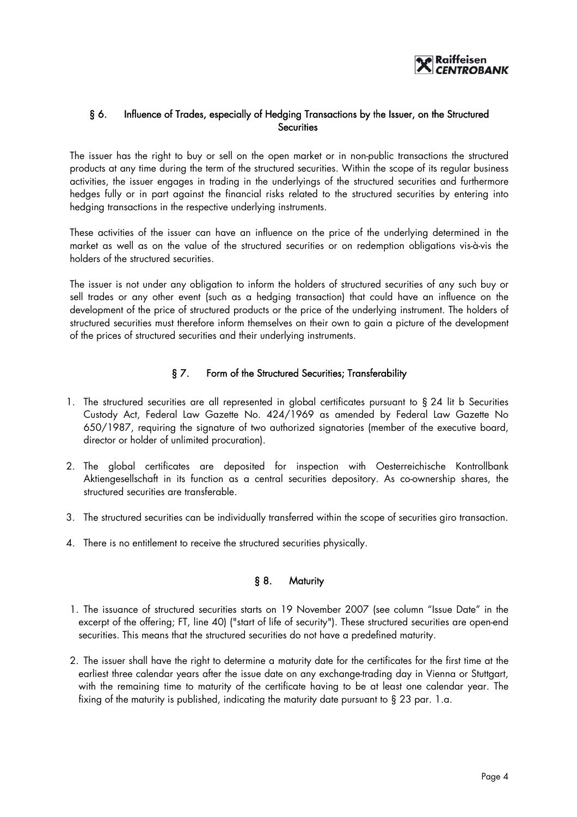

# § 6. Influence of Trades, especially of Hedging Transactions by the Issuer, on the Structured **Securities**

The issuer has the right to buy or sell on the open market or in non-public transactions the structured products at any time during the term of the structured securities. Within the scope of its regular business activities, the issuer engages in trading in the underlyings of the structured securities and furthermore hedges fully or in part against the financial risks related to the structured securities by entering into hedging transactions in the respective underlying instruments.

These activities of the issuer can have an influence on the price of the underlying determined in the market as well as on the value of the structured securities or on redemption obligations vis-à-vis the holders of the structured securities.

The issuer is not under any obligation to inform the holders of structured securities of any such buy or sell trades or any other event (such as a hedging transaction) that could have an influence on the development of the price of structured products or the price of the underlying instrument. The holders of structured securities must therefore inform themselves on their own to gain a picture of the development of the prices of structured securities and their underlying instruments.

# § 7. Form of the Structured Securities; Transferability

- 1. The structured securities are all represented in global certificates pursuant to § 24 lit b Securities Custody Act, Federal Law Gazette No. 424/1969 as amended by Federal Law Gazette No 650/1987, requiring the signature of two authorized signatories (member of the executive board, director or holder of unlimited procuration).
- 2. The global certificates are deposited for inspection with Oesterreichische Kontrollbank Aktiengesellschaft in its function as a central securities depository. As co-ownership shares, the structured securities are transferable.
- 3. The structured securities can be individually transferred within the scope of securities giro transaction.
- 4. There is no entitlement to receive the structured securities physically.

# § 8. Maturity

- 1. The issuance of structured securities starts on 19 November 2007 (see column "Issue Date" in the excerpt of the offering; FT, line 40) ("start of life of security"). These structured securities are open-end securities. This means that the structured securities do not have a predefined maturity.
- 2. The issuer shall have the right to determine a maturity date for the certificates for the first time at the earliest three calendar years after the issue date on any exchange-trading day in Vienna or Stuttgart, with the remaining time to maturity of the certificate having to be at least one calendar year. The fixing of the maturity is published, indicating the maturity date pursuant to § 23 par. 1.a.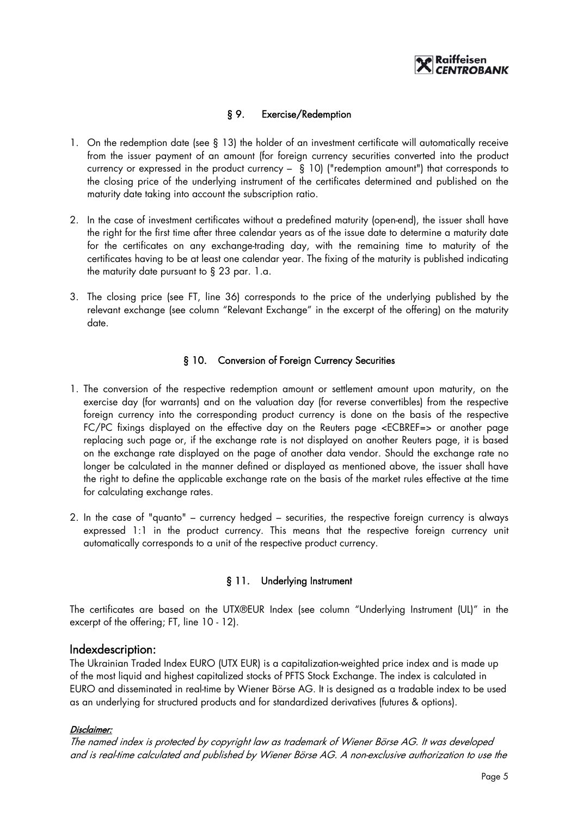

# § 9. Exercise/Redemption

- 1. On the redemption date (see § 13) the holder of an investment certificate will automatically receive from the issuer payment of an amount (for foreign currency securities converted into the product currency or expressed in the product currency – § 10) ("redemption amount") that corresponds to the closing price of the underlying instrument of the certificates determined and published on the maturity date taking into account the subscription ratio.
- 2. In the case of investment certificates without a predefined maturity (open-end), the issuer shall have the right for the first time after three calendar years as of the issue date to determine a maturity date for the certificates on any exchange-trading day, with the remaining time to maturity of the certificates having to be at least one calendar year. The fixing of the maturity is published indicating the maturity date pursuant to § 23 par. 1.a.
- 3. The closing price (see FT, line 36) corresponds to the price of the underlying published by the relevant exchange (see column "Relevant Exchange" in the excerpt of the offering) on the maturity date.

#### § 10. Conversion of Foreign Currency Securities

- 1. The conversion of the respective redemption amount or settlement amount upon maturity, on the exercise day (for warrants) and on the valuation day (for reverse convertibles) from the respective foreign currency into the corresponding product currency is done on the basis of the respective FC/PC fixings displayed on the effective day on the Reuters page <ECBREF=> or another page replacing such page or, if the exchange rate is not displayed on another Reuters page, it is based on the exchange rate displayed on the page of another data vendor. Should the exchange rate no longer be calculated in the manner defined or displayed as mentioned above, the issuer shall have the right to define the applicable exchange rate on the basis of the market rules effective at the time for calculating exchange rates.
- 2. In the case of "quanto" currency hedged securities, the respective foreign currency is always expressed 1:1 in the product currency. This means that the respective foreign currency unit automatically corresponds to a unit of the respective product currency.

# § 11. Underlying Instrument

The certificates are based on the UTX®EUR Index (see column "Underlying Instrument (UL)" in the excerpt of the offering; FT, line 10 - 12).

# Indexdescription:

The Ukrainian Traded Index EURO (UTX EUR) is a capitalization-weighted price index and is made up of the most liquid and highest capitalized stocks of PFTS Stock Exchange. The index is calculated in EURO and disseminated in real-time by Wiener Börse AG. It is designed as a tradable index to be used as an underlying for structured products and for standardized derivatives (futures & options).

#### Disclaimer:

The named index is protected by copyright law as trademark of Wiener Börse AG. It was developed and is real-time calculated and published by Wiener Börse AG. A non-exclusive authorization to use the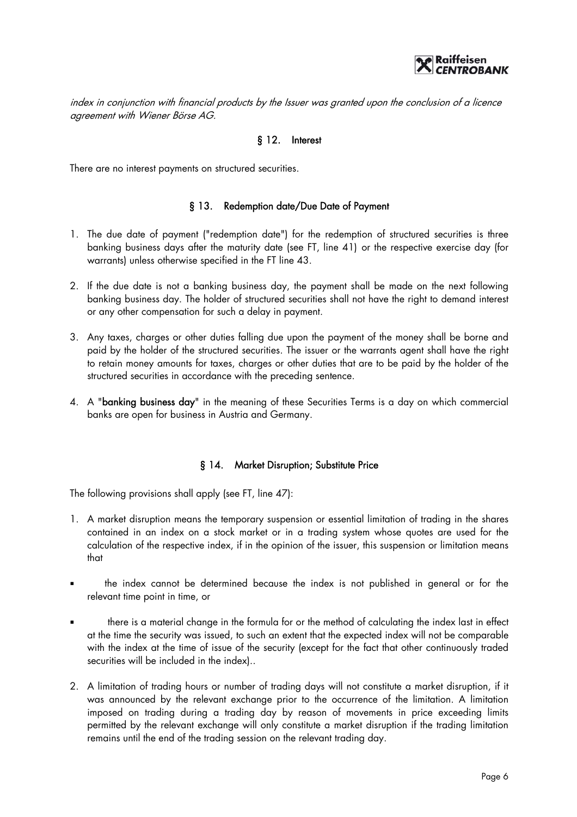

index in conjunction with financial products by the Issuer was granted upon the conclusion of a licence agreement with Wiener Börse AG.

#### § 12. Interest

There are no interest payments on structured securities.

#### § 13. Redemption date/Due Date of Payment

- 1. The due date of payment ("redemption date") for the redemption of structured securities is three banking business days after the maturity date (see FT, line 41) or the respective exercise day (for warrants) unless otherwise specified in the FT line 43.
- 2. If the due date is not a banking business day, the payment shall be made on the next following banking business day. The holder of structured securities shall not have the right to demand interest or any other compensation for such a delay in payment.
- 3. Any taxes, charges or other duties falling due upon the payment of the money shall be borne and paid by the holder of the structured securities. The issuer or the warrants agent shall have the right to retain money amounts for taxes, charges or other duties that are to be paid by the holder of the structured securities in accordance with the preceding sentence.
- 4. A "banking business day" in the meaning of these Securities Terms is a day on which commercial banks are open for business in Austria and Germany.

#### § 14. Market Disruption; Substitute Price

The following provisions shall apply (see FT, line 47):

- 1. A market disruption means the temporary suspension or essential limitation of trading in the shares contained in an index on a stock market or in a trading system whose quotes are used for the calculation of the respective index, if in the opinion of the issuer, this suspension or limitation means that
- **the index cannot be determined because the index is not published in general or for the** relevant time point in time, or
- there is a material change in the formula for or the method of calculating the index last in effect at the time the security was issued, to such an extent that the expected index will not be comparable with the index at the time of issue of the security (except for the fact that other continuously traded securities will be included in the index)..
- 2. A limitation of trading hours or number of trading days will not constitute a market disruption, if it was announced by the relevant exchange prior to the occurrence of the limitation. A limitation imposed on trading during a trading day by reason of movements in price exceeding limits permitted by the relevant exchange will only constitute a market disruption if the trading limitation remains until the end of the trading session on the relevant trading day.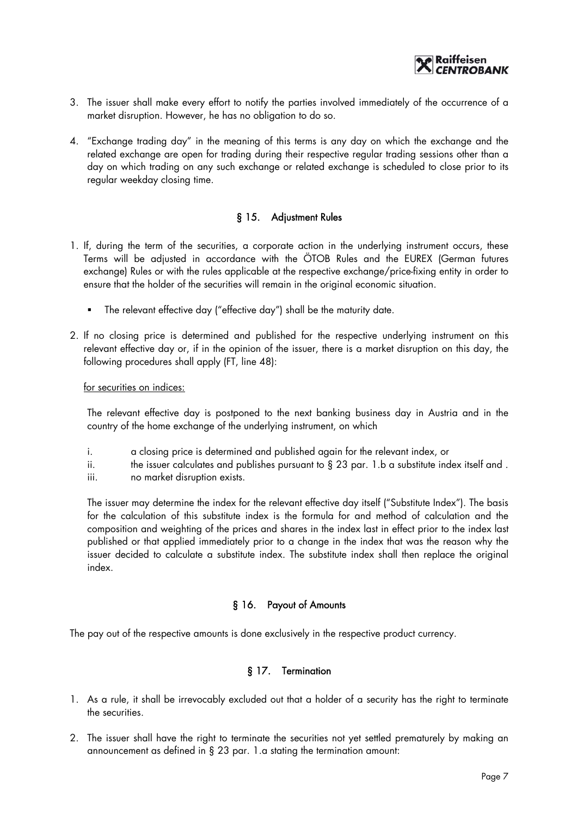

- 3. The issuer shall make every effort to notify the parties involved immediately of the occurrence of a market disruption. However, he has no obligation to do so.
- 4. "Exchange trading day" in the meaning of this terms is any day on which the exchange and the related exchange are open for trading during their respective regular trading sessions other than a day on which trading on any such exchange or related exchange is scheduled to close prior to its regular weekday closing time.

#### § 15. Adjustment Rules

- 1. If, during the term of the securities, a corporate action in the underlying instrument occurs, these Terms will be adjusted in accordance with the ÖTOB Rules and the EUREX (German futures exchange) Rules or with the rules applicable at the respective exchange/price-fixing entity in order to ensure that the holder of the securities will remain in the original economic situation.
	- The relevant effective day ("effective day") shall be the maturity date.
- 2. If no closing price is determined and published for the respective underlying instrument on this relevant effective day or, if in the opinion of the issuer, there is a market disruption on this day, the following procedures shall apply (FT, line 48):

for securities on indices:

The relevant effective day is postponed to the next banking business day in Austria and in the country of the home exchange of the underlying instrument, on which

- i. a closing price is determined and published again for the relevant index, or
- ii. the issuer calculates and publishes pursuant to  $\S$  23 par. 1.b a substitute index itself and .
- iii. no market disruption exists.

The issuer may determine the index for the relevant effective day itself ("Substitute Index"). The basis for the calculation of this substitute index is the formula for and method of calculation and the composition and weighting of the prices and shares in the index last in effect prior to the index last published or that applied immediately prior to a change in the index that was the reason why the issuer decided to calculate a substitute index. The substitute index shall then replace the original index.

# § 16. Payout of Amounts

The pay out of the respective amounts is done exclusively in the respective product currency.

# § 17. Termination

- 1. As a rule, it shall be irrevocably excluded out that a holder of a security has the right to terminate the securities.
- 2. The issuer shall have the right to terminate the securities not yet settled prematurely by making an announcement as defined in § 23 par. 1.a stating the termination amount: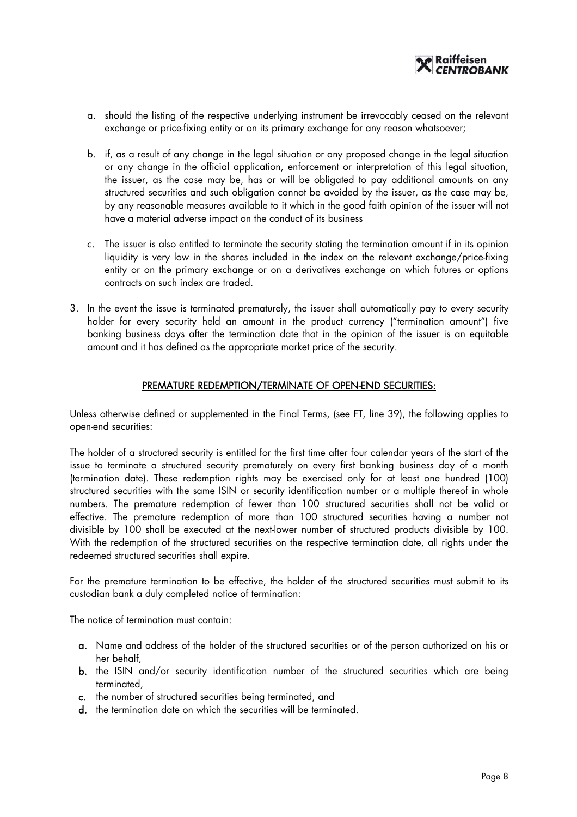

- a. should the listing of the respective underlying instrument be irrevocably ceased on the relevant exchange or price-fixing entity or on its primary exchange for any reason whatsoever;
- b. if, as a result of any change in the legal situation or any proposed change in the legal situation or any change in the official application, enforcement or interpretation of this legal situation, the issuer, as the case may be, has or will be obligated to pay additional amounts on any structured securities and such obligation cannot be avoided by the issuer, as the case may be, by any reasonable measures available to it which in the good faith opinion of the issuer will not have a material adverse impact on the conduct of its business
- c. The issuer is also entitled to terminate the security stating the termination amount if in its opinion liquidity is very low in the shares included in the index on the relevant exchange/price-fixing entity or on the primary exchange or on a derivatives exchange on which futures or options contracts on such index are traded.
- 3. In the event the issue is terminated prematurely, the issuer shall automatically pay to every security holder for every security held an amount in the product currency ("termination amount") five banking business days after the termination date that in the opinion of the issuer is an equitable amount and it has defined as the appropriate market price of the security.

#### PREMATURE REDEMPTION/TERMINATE OF OPEN-END SECURITIES:

Unless otherwise defined or supplemented in the Final Terms, (see FT, line 39), the following applies to open-end securities:

The holder of a structured security is entitled for the first time after four calendar years of the start of the issue to terminate a structured security prematurely on every first banking business day of a month (termination date). These redemption rights may be exercised only for at least one hundred (100) structured securities with the same ISIN or security identification number or a multiple thereof in whole numbers. The premature redemption of fewer than 100 structured securities shall not be valid or effective. The premature redemption of more than 100 structured securities having a number not divisible by 100 shall be executed at the next-lower number of structured products divisible by 100. With the redemption of the structured securities on the respective termination date, all rights under the redeemed structured securities shall expire.

For the premature termination to be effective, the holder of the structured securities must submit to its custodian bank a duly completed notice of termination:

The notice of termination must contain:

- a. Name and address of the holder of the structured securities or of the person authorized on his or her behalf,
- b. the ISIN and/or security identification number of the structured securities which are being terminated,
- c. the number of structured securities being terminated, and
- d. the termination date on which the securities will be terminated.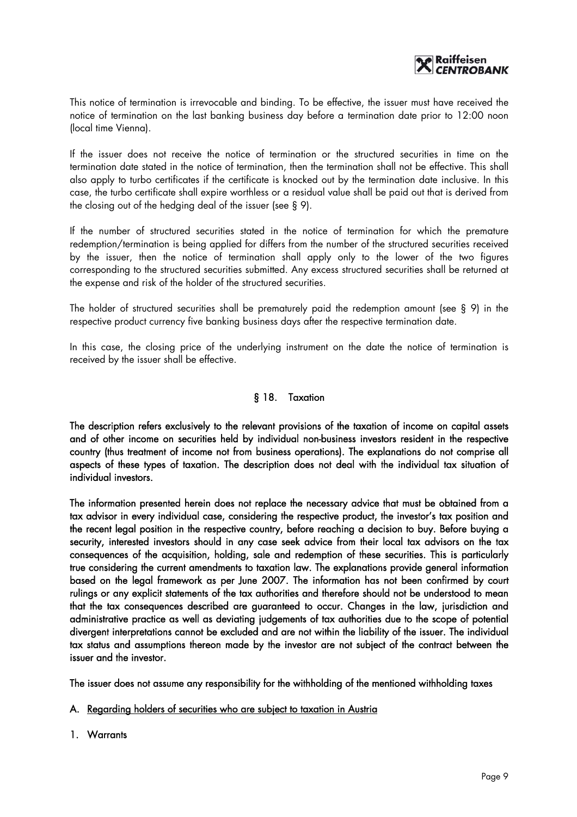

This notice of termination is irrevocable and binding. To be effective, the issuer must have received the notice of termination on the last banking business day before a termination date prior to 12:00 noon (local time Vienna).

If the issuer does not receive the notice of termination or the structured securities in time on the termination date stated in the notice of termination, then the termination shall not be effective. This shall also apply to turbo certificates if the certificate is knocked out by the termination date inclusive. In this case, the turbo certificate shall expire worthless or a residual value shall be paid out that is derived from the closing out of the hedging deal of the issuer (see § 9).

If the number of structured securities stated in the notice of termination for which the premature redemption/termination is being applied for differs from the number of the structured securities received by the issuer, then the notice of termination shall apply only to the lower of the two figures corresponding to the structured securities submitted. Any excess structured securities shall be returned at the expense and risk of the holder of the structured securities.

The holder of structured securities shall be prematurely paid the redemption amount (see § 9) in the respective product currency five banking business days after the respective termination date.

In this case, the closing price of the underlying instrument on the date the notice of termination is received by the issuer shall be effective.

#### § 18. Taxation

The description refers exclusively to the relevant provisions of the taxation of income on capital assets and of other income on securities held by individual non-business investors resident in the respective country (thus treatment of income not from business operations). The explanations do not comprise all aspects of these types of taxation. The description does not deal with the individual tax situation of individual investors.

The information presented herein does not replace the necessary advice that must be obtained from a tax advisor in every individual case, considering the respective product, the investor's tax position and the recent legal position in the respective country, before reaching a decision to buy. Before buying a security, interested investors should in any case seek advice from their local tax advisors on the tax consequences of the acquisition, holding, sale and redemption of these securities. This is particularly true considering the current amendments to taxation law. The explanations provide general information based on the legal framework as per June 2007. The information has not been confirmed by court rulings or any explicit statements of the tax authorities and therefore should not be understood to mean that the tax consequences described are guaranteed to occur. Changes in the law, jurisdiction and administrative practice as well as deviating judgements of tax authorities due to the scope of potential divergent interpretations cannot be excluded and are not within the liability of the issuer. The individual tax status and assumptions thereon made by the investor are not subject of the contract between the issuer and the investor.

The issuer does not assume any responsibility for the withholding of the mentioned withholding taxes

A. Regarding holders of securities who are subject to taxation in Austria

1. Warrants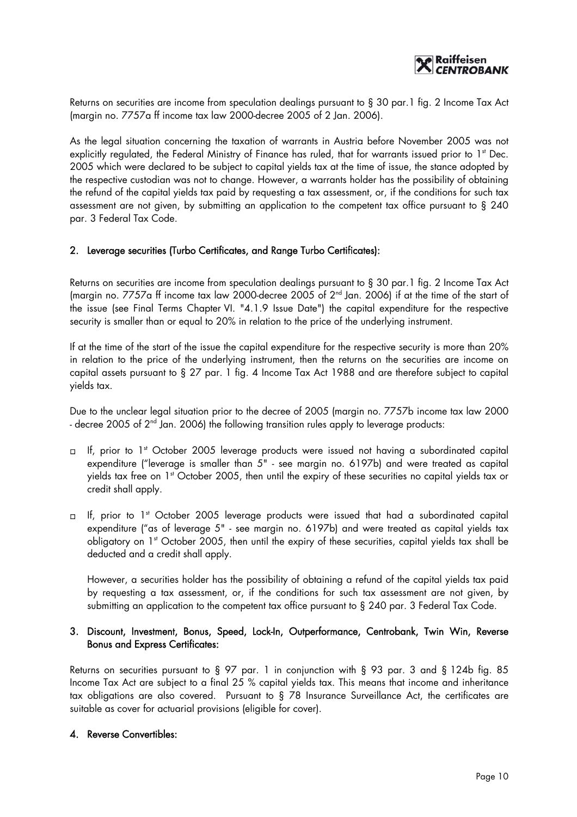

Returns on securities are income from speculation dealings pursuant to § 30 par.1 fig. 2 Income Tax Act (margin no. 7757a ff income tax law 2000-decree 2005 of 2 Jan. 2006).

As the legal situation concerning the taxation of warrants in Austria before November 2005 was not explicitly regulated, the Federal Ministry of Finance has ruled, that for warrants issued prior to 1st Dec. 2005 which were declared to be subject to capital yields tax at the time of issue, the stance adopted by the respective custodian was not to change. However, a warrants holder has the possibility of obtaining the refund of the capital yields tax paid by requesting a tax assessment, or, if the conditions for such tax assessment are not given, by submitting an application to the competent tax office pursuant to § 240 par. 3 Federal Tax Code.

#### 2. Leverage securities (Turbo Certificates, and Range Turbo Certificates):

Returns on securities are income from speculation dealings pursuant to § 30 par.1 fig. 2 Income Tax Act (margin no. 7757a ff income tax law 2000-decree 2005 of  $2<sup>nd</sup>$  Jan. 2006) if at the time of the start of the issue (see Final Terms Chapter VI. "4.1.9 Issue Date") the capital expenditure for the respective security is smaller than or equal to 20% in relation to the price of the underlying instrument.

If at the time of the start of the issue the capital expenditure for the respective security is more than 20% in relation to the price of the underlying instrument, then the returns on the securities are income on capital assets pursuant to § 27 par. 1 fig. 4 Income Tax Act 1988 and are therefore subject to capital yields tax.

Due to the unclear legal situation prior to the decree of 2005 (margin no. 7757b income tax law 2000 - decree 2005 of 2<sup>nd</sup> Jan. 2006) the following transition rules apply to leverage products:

- □ If, prior to 1<sup>st</sup> October 2005 leverage products were issued not having a subordinated capital expenditure ("leverage is smaller than 5" - see margin no. 6197b) and were treated as capital yields tax free on 1<sup>st</sup> October 2005, then until the expiry of these securities no capital yields tax or credit shall apply.
- □ If, prior to 1<sup>st</sup> October 2005 leverage products were issued that had a subordinated capital expenditure ("as of leverage 5" - see margin no. 6197b) and were treated as capital yields tax obligatory on 1<sup>st</sup> October 2005, then until the expiry of these securities, capital yields tax shall be deducted and a credit shall apply.

However, a securities holder has the possibility of obtaining a refund of the capital yields tax paid by requesting a tax assessment, or, if the conditions for such tax assessment are not given, by submitting an application to the competent tax office pursuant to § 240 par. 3 Federal Tax Code.

#### 3. Discount, Investment, Bonus, Speed, Lock-In, Outperformance, Centrobank, Twin Win, Reverse Bonus and Express Certificates:

Returns on securities pursuant to § 97 par. 1 in conjunction with § 93 par. 3 and § 124b fig. 85 Income Tax Act are subject to a final 25 % capital yields tax. This means that income and inheritance tax obligations are also covered. Pursuant to § 78 Insurance Surveillance Act, the certificates are suitable as cover for actuarial provisions (eligible for cover).

#### 4. Reverse Convertibles: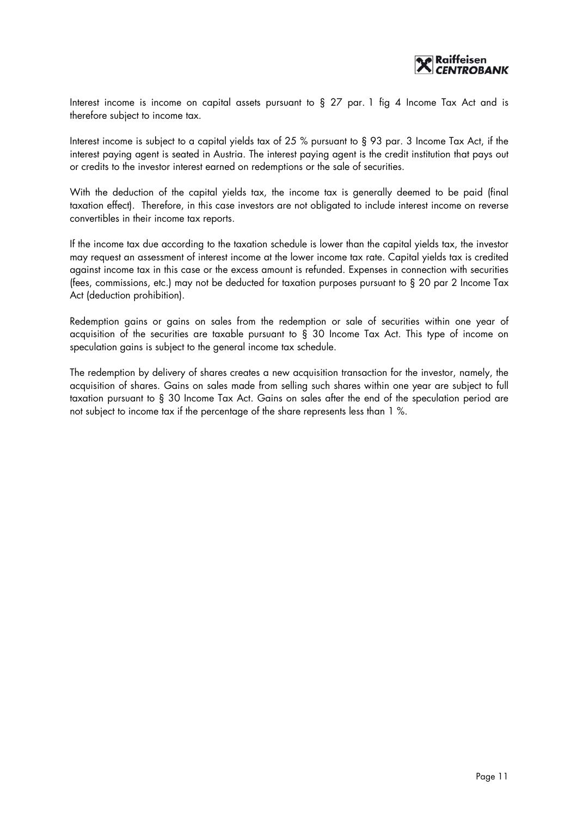

Interest income is income on capital assets pursuant to § 27 par. 1 fig 4 Income Tax Act and is therefore subject to income tax.

Interest income is subject to a capital yields tax of 25 % pursuant to § 93 par. 3 Income Tax Act, if the interest paying agent is seated in Austria. The interest paying agent is the credit institution that pays out or credits to the investor interest earned on redemptions or the sale of securities.

With the deduction of the capital yields tax, the income tax is generally deemed to be paid (final taxation effect). Therefore, in this case investors are not obligated to include interest income on reverse convertibles in their income tax reports.

If the income tax due according to the taxation schedule is lower than the capital yields tax, the investor may request an assessment of interest income at the lower income tax rate. Capital yields tax is credited against income tax in this case or the excess amount is refunded. Expenses in connection with securities (fees, commissions, etc.) may not be deducted for taxation purposes pursuant to § 20 par 2 Income Tax Act (deduction prohibition).

Redemption gains or gains on sales from the redemption or sale of securities within one year of acquisition of the securities are taxable pursuant to § 30 Income Tax Act. This type of income on speculation gains is subject to the general income tax schedule.

The redemption by delivery of shares creates a new acquisition transaction for the investor, namely, the acquisition of shares. Gains on sales made from selling such shares within one year are subject to full taxation pursuant to § 30 Income Tax Act. Gains on sales after the end of the speculation period are not subject to income tax if the percentage of the share represents less than 1 %.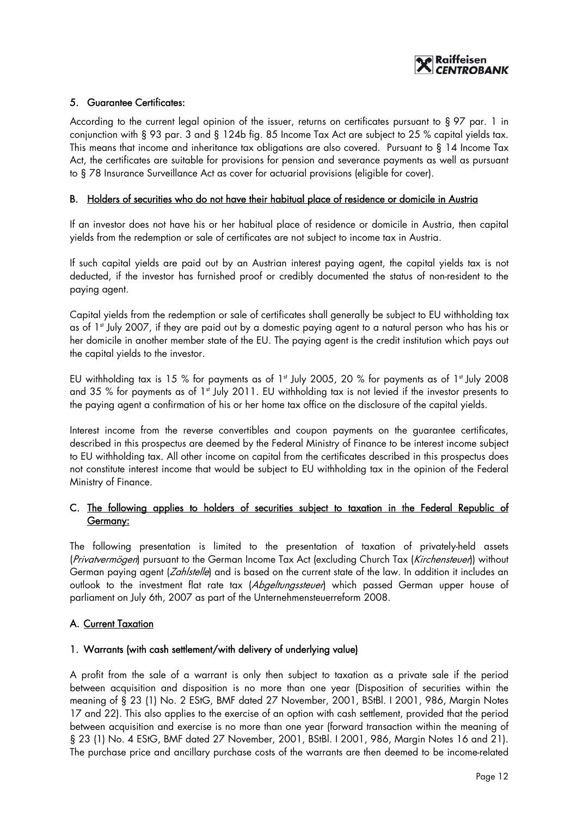

# 5. Guarantee Certificates:

According to the current legal opinion of the issuer, returns on certificates pursuant to § 97 par. 1 in conjunction with § 93 par. 3 and § 124b fig. 85 Income Tax Act are subject to 25 % capital yields tax. This means that income and inheritance tax obligations are also covered. Pursuant to § 14 Income Tax Act, the certificates are suitable for provisions for pension and severance payments as well as pursuant to § 78 Insurance Surveillance Act as cover for actuarial provisions (eligible for cover).

## B. Holders of securities who do not have their habitual place of residence or domicile in Austria

If an investor does not have his or her habitual place of residence or domicile in Austria, then capital yields from the redemption or sale of certificates are not subject to income tax in Austria.

If such capital yields are paid out by an Austrian interest paying agent, the capital yields tax is not deducted, if the investor has furnished proof or credibly documented the status of non-resident to the paying agent.

Capital yields from the redemption or sale of certificates shall generally be subject to EU withholding tax as of 1<sup>st</sup> July 2007, if they are paid out by a domestic paying agent to a natural person who has his or her domicile in another member state of the EU. The paying agent is the credit institution which pays out the capital yields to the investor.

EU withholding tax is 15 % for payments as of 1<sup>st</sup> July 2005, 20 % for payments as of 1<sup>st</sup> July 2008 and 35 % for payments as of 1<sup>st</sup> July 2011. EU withholding tax is not levied if the investor presents to the paying agent a confirmation of his or her home tax office on the disclosure of the capital yields.

Interest income from the reverse convertibles and coupon payments on the guarantee certificates, described in this prospectus are deemed by the Federal Ministry of Finance to be interest income subject to EU withholding tax. All other income on capital from the certificates described in this prospectus does not constitute interest income that would be subject to EU withholding tax in the opinion of the Federal Ministry of Finance.

# C. The following applies to holders of securities subject to taxation in the Federal Republic of Germany:

The following presentation is limited to the presentation of taxation of privately-held assets (Privatvermögen) pursuant to the German Income Tax Act (excluding Church Tax (Kirchensteuer)) without German paying agent (*Zahlstelle*) and is based on the current state of the law. In addition it includes an outlook to the investment flat rate tax (Abgeltungsstever) which passed German upper house of parliament on July 6th, 2007 as part of the Unternehmensteuerreform 2008.

#### A. Current Taxation

#### 1. Warrants (with cash settlement/with delivery of underlying value)

A profit from the sale of a warrant is only then subject to taxation as a private sale if the period between acquisition and disposition is no more than one year (Disposition of securities within the meaning of § 23 (1) No. 2 EStG, BMF dated 27 November, 2001, BStBl. I 2001, 986, Margin Notes 17 and 22). This also applies to the exercise of an option with cash settlement, provided that the period between acquisition and exercise is no more than one year (forward transaction within the meaning of § 23 (1) No. 4 EStG, BMF dated 27 November, 2001, BStBl. I 2001, 986, Margin Notes 16 and 21). The purchase price and ancillary purchase costs of the warrants are then deemed to be income-related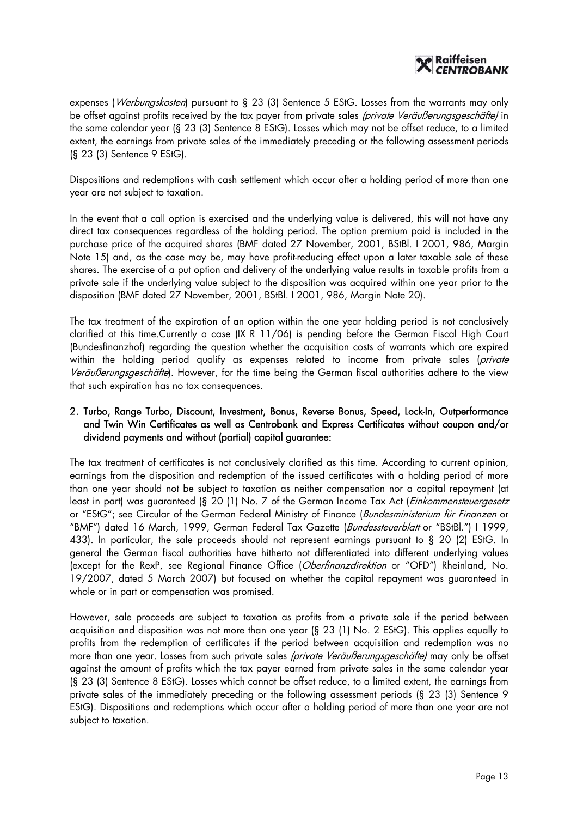

expenses (*Werbungskosten*) pursuant to § 23 (3) Sentence 5 EStG. Losses from the warrants may only be offset against profits received by the tax payer from private sales (private Veräußerungsgeschäfte) in the same calendar year (§ 23 (3) Sentence 8 EStG). Losses which may not be offset reduce, to a limited extent, the earnings from private sales of the immediately preceding or the following assessment periods (§ 23 (3) Sentence 9 EStG).

Dispositions and redemptions with cash settlement which occur after a holding period of more than one year are not subject to taxation.

In the event that a call option is exercised and the underlying value is delivered, this will not have any direct tax consequences regardless of the holding period. The option premium paid is included in the purchase price of the acquired shares (BMF dated 27 November, 2001, BStBl. I 2001, 986, Margin Note 15) and, as the case may be, may have profit-reducing effect upon a later taxable sale of these shares. The exercise of a put option and delivery of the underlying value results in taxable profits from a private sale if the underlying value subject to the disposition was acquired within one year prior to the disposition (BMF dated 27 November, 2001, BStBl. I 2001, 986, Margin Note 20).

The tax treatment of the expiration of an option within the one year holding period is not conclusively clarified at this time.Currently a case (IX R 11/06) is pending before the German Fiscal High Court (Bundesfinanzhof) regarding the question whether the acquisition costs of warrants which are expired within the holding period qualify as expenses related to income from private sales (private Veräußerungsgeschäfte). However, for the time being the German fiscal authorities adhere to the view that such expiration has no tax consequences.

# 2. Turbo, Range Turbo, Discount, Investment, Bonus, Reverse Bonus, Speed, Lock-In, Outperformance and Twin Win Certificates as well as Centrobank and Express Certificates without coupon and/or dividend payments and without (partial) capital guarantee:

The tax treatment of certificates is not conclusively clarified as this time. According to current opinion, earnings from the disposition and redemption of the issued certificates with a holding period of more than one year should not be subject to taxation as neither compensation nor a capital repayment (at least in part) was guaranteed (§ 20 (1) No. 7 of the German Income Tax Act (Einkommensteuergesetz or "EStG"; see Circular of the German Federal Ministry of Finance (Bundesministerium für Finanzen or "BMF") dated 16 March, 1999, German Federal Tax Gazette (Bundessteuerblatt or "BStBl.") I 1999, 433). In particular, the sale proceeds should not represent earnings pursuant to § 20 (2) EStG. In general the German fiscal authorities have hitherto not differentiated into different underlying values (except for the RexP, see Regional Finance Office (Oberfinanzdirektion or "OFD") Rheinland, No. 19/2007, dated 5 March 2007) but focused on whether the capital repayment was guaranteed in whole or in part or compensation was promised.

However, sale proceeds are subject to taxation as profits from a private sale if the period between acquisition and disposition was not more than one year (§ 23 (1) No. 2 EStG). This applies equally to profits from the redemption of certificates if the period between acquisition and redemption was no more than one year. Losses from such private sales *(private Veräußerungsgeschäfte)* may only be offset against the amount of profits which the tax payer earned from private sales in the same calendar year (§ 23 (3) Sentence 8 EStG). Losses which cannot be offset reduce, to a limited extent, the earnings from private sales of the immediately preceding or the following assessment periods (§ 23 (3) Sentence 9 EStG). Dispositions and redemptions which occur after a holding period of more than one year are not subject to taxation.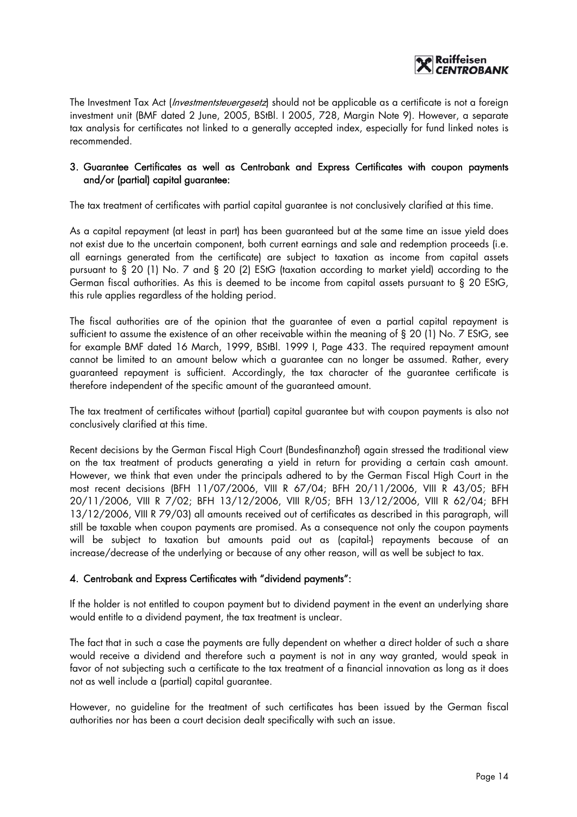

The Investment Tax Act (*Investmentsteuergesetz*) should not be applicable as a certificate is not a foreign investment unit (BMF dated 2 June, 2005, BStBl. I 2005, 728, Margin Note 9). However, a separate tax analysis for certificates not linked to a generally accepted index, especially for fund linked notes is recommended.

#### 3. Guarantee Certificates as well as Centrobank and Express Certificates with coupon payments and/or (partial) capital guarantee:

The tax treatment of certificates with partial capital guarantee is not conclusively clarified at this time.

As a capital repayment (at least in part) has been guaranteed but at the same time an issue yield does not exist due to the uncertain component, both current earnings and sale and redemption proceeds (i.e. all earnings generated from the certificate) are subject to taxation as income from capital assets pursuant to § 20 (1) No. 7 and § 20 (2) EStG (taxation according to market yield) according to the German fiscal authorities. As this is deemed to be income from capital assets pursuant to § 20 EStG, this rule applies regardless of the holding period.

The fiscal authorities are of the opinion that the guarantee of even a partial capital repayment is sufficient to assume the existence of an other receivable within the meaning of § 20 (1) No. 7 EStG, see for example BMF dated 16 March, 1999, BStBl. 1999 I, Page 433. The required repayment amount cannot be limited to an amount below which a guarantee can no longer be assumed. Rather, every guaranteed repayment is sufficient. Accordingly, the tax character of the guarantee certificate is therefore independent of the specific amount of the guaranteed amount.

The tax treatment of certificates without (partial) capital guarantee but with coupon payments is also not conclusively clarified at this time.

Recent decisions by the German Fiscal High Court (Bundesfinanzhof) again stressed the traditional view on the tax treatment of products generating a yield in return for providing a certain cash amount. However, we think that even under the principals adhered to by the German Fiscal High Court in the most recent decisions (BFH 11/07/2006, VIII R 67/04; BFH 20/11/2006, VIII R 43/05; BFH 20/11/2006, VIII R 7/02; BFH 13/12/2006, VIII R/05; BFH 13/12/2006, VIII R 62/04; BFH 13/12/2006, VIII R 79/03) all amounts received out of certificates as described in this paragraph, will still be taxable when coupon payments are promised. As a consequence not only the coupon payments will be subject to taxation but amounts paid out as (capital-) repayments because of an increase/decrease of the underlying or because of any other reason, will as well be subject to tax.

# 4. Centrobank and Express Certificates with "dividend payments":

If the holder is not entitled to coupon payment but to dividend payment in the event an underlying share would entitle to a dividend payment, the tax treatment is unclear.

The fact that in such a case the payments are fully dependent on whether a direct holder of such a share would receive a dividend and therefore such a payment is not in any way granted, would speak in favor of not subjecting such a certificate to the tax treatment of a financial innovation as long as it does not as well include a (partial) capital guarantee.

However, no guideline for the treatment of such certificates has been issued by the German fiscal authorities nor has been a court decision dealt specifically with such an issue.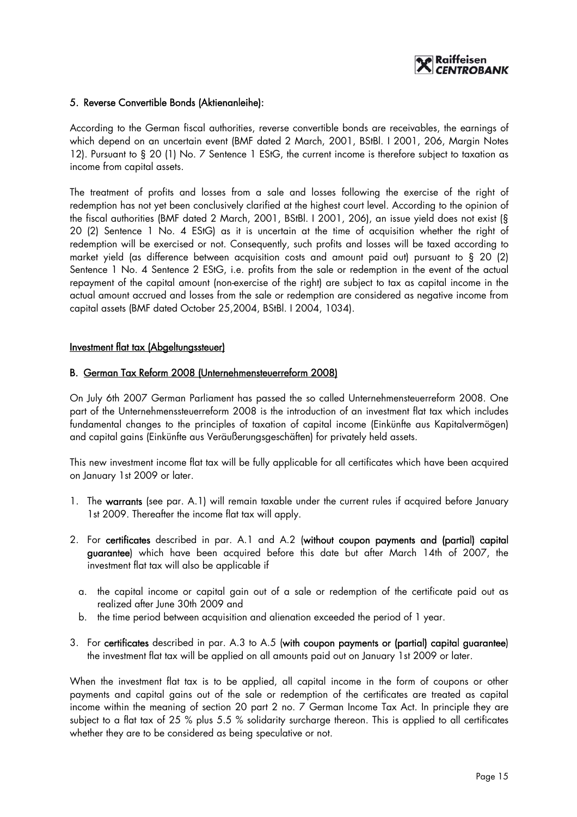

#### 5. Reverse Convertible Bonds (Aktienanleihe):

According to the German fiscal authorities, reverse convertible bonds are receivables, the earnings of which depend on an uncertain event (BMF dated 2 March, 2001, BStBl. I 2001, 206, Margin Notes 12). Pursuant to § 20 (1) No. 7 Sentence 1 EStG, the current income is therefore subject to taxation as income from capital assets.

The treatment of profits and losses from a sale and losses following the exercise of the right of redemption has not yet been conclusively clarified at the highest court level. According to the opinion of the fiscal authorities (BMF dated 2 March, 2001, BStBl. I 2001, 206), an issue yield does not exist (§ 20 (2) Sentence 1 No. 4 EStG) as it is uncertain at the time of acquisition whether the right of redemption will be exercised or not. Consequently, such profits and losses will be taxed according to market yield (as difference between acquisition costs and amount paid out) pursuant to § 20 (2) Sentence 1 No. 4 Sentence 2 EStG, i.e. profits from the sale or redemption in the event of the actual repayment of the capital amount (non-exercise of the right) are subject to tax as capital income in the actual amount accrued and losses from the sale or redemption are considered as negative income from capital assets (BMF dated October 25,2004, BStBl. I 2004, 1034).

#### Investment flat tax (Abgeltungssteuer)

#### B. German Tax Reform 2008 (Unternehmensteuerreform 2008)

On July 6th 2007 German Parliament has passed the so called Unternehmensteuerreform 2008. One part of the Unternehmenssteuerreform 2008 is the introduction of an investment flat tax which includes fundamental changes to the principles of taxation of capital income (Einkünfte aus Kapitalvermögen) and capital gains (Einkünfte aus Veräußerungsgeschäften) for privately held assets.

This new investment income flat tax will be fully applicable for all certificates which have been acquired on January 1st 2009 or later.

- 1. The warrants (see par. A.1) will remain taxable under the current rules if acquired before January 1st 2009. Thereafter the income flat tax will apply.
- 2. For certificates described in par. A.1 and A.2 (without coupon payments and (partial) capital guarantee) which have been acquired before this date but after March 14th of 2007, the investment flat tax will also be applicable if
	- a. the capital income or capital gain out of a sale or redemption of the certificate paid out as realized after June 30th 2009 and
	- b. the time period between acquisition and alienation exceeded the period of 1 year.
- 3. For certificates described in par. A.3 to A.5 (with coupon payments or (partial) capital guarantee) the investment flat tax will be applied on all amounts paid out on January 1st 2009 or later.

When the investment flat tax is to be applied, all capital income in the form of coupons or other payments and capital gains out of the sale or redemption of the certificates are treated as capital income within the meaning of section 20 part 2 no. 7 German Income Tax Act. In principle they are subject to a flat tax of 25 % plus 5.5 % solidarity surcharge thereon. This is applied to all certificates whether they are to be considered as being speculative or not.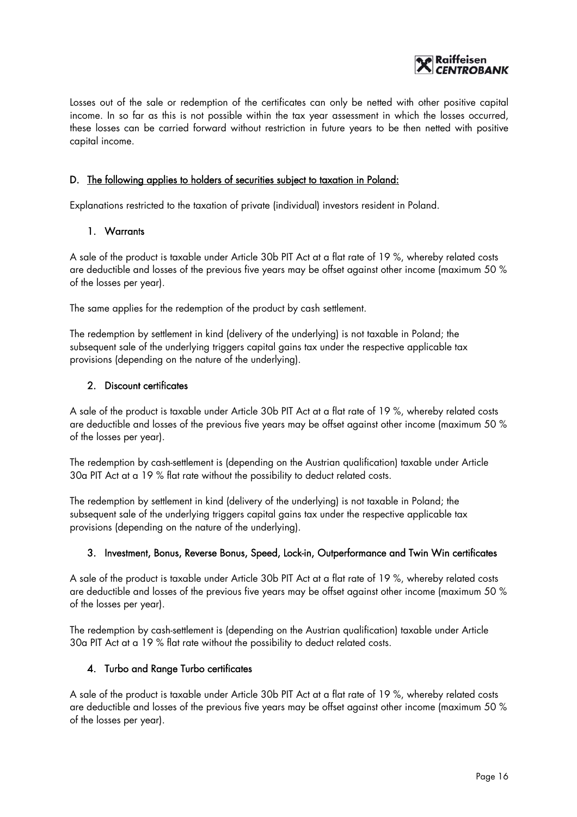

Losses out of the sale or redemption of the certificates can only be netted with other positive capital income. In so far as this is not possible within the tax year assessment in which the losses occurred, these losses can be carried forward without restriction in future years to be then netted with positive capital income.

# D. The following applies to holders of securities subject to taxation in Poland:

Explanations restricted to the taxation of private (individual) investors resident in Poland.

#### 1. Warrants

A sale of the product is taxable under Article 30b PIT Act at a flat rate of 19 %, whereby related costs are deductible and losses of the previous five years may be offset against other income (maximum 50 % of the losses per year).

The same applies for the redemption of the product by cash settlement.

The redemption by settlement in kind (delivery of the underlying) is not taxable in Poland; the subsequent sale of the underlying triggers capital gains tax under the respective applicable tax provisions (depending on the nature of the underlying).

#### 2. Discount certificates

A sale of the product is taxable under Article 30b PIT Act at a flat rate of 19 %, whereby related costs are deductible and losses of the previous five years may be offset against other income (maximum 50 % of the losses per year).

The redemption by cash-settlement is (depending on the Austrian qualification) taxable under Article 30a PIT Act at a 19 % flat rate without the possibility to deduct related costs.

The redemption by settlement in kind (delivery of the underlying) is not taxable in Poland; the subsequent sale of the underlying triggers capital gains tax under the respective applicable tax provisions (depending on the nature of the underlying).

#### 3. Investment, Bonus, Reverse Bonus, Speed, Lock-in, Outperformance and Twin Win certificates

A sale of the product is taxable under Article 30b PIT Act at a flat rate of 19 %, whereby related costs are deductible and losses of the previous five years may be offset against other income (maximum 50 % of the losses per year).

The redemption by cash-settlement is (depending on the Austrian qualification) taxable under Article 30a PIT Act at a 19 % flat rate without the possibility to deduct related costs.

#### 4. Turbo and Range Turbo certificates

A sale of the product is taxable under Article 30b PIT Act at a flat rate of 19 %, whereby related costs are deductible and losses of the previous five years may be offset against other income (maximum 50 % of the losses per year).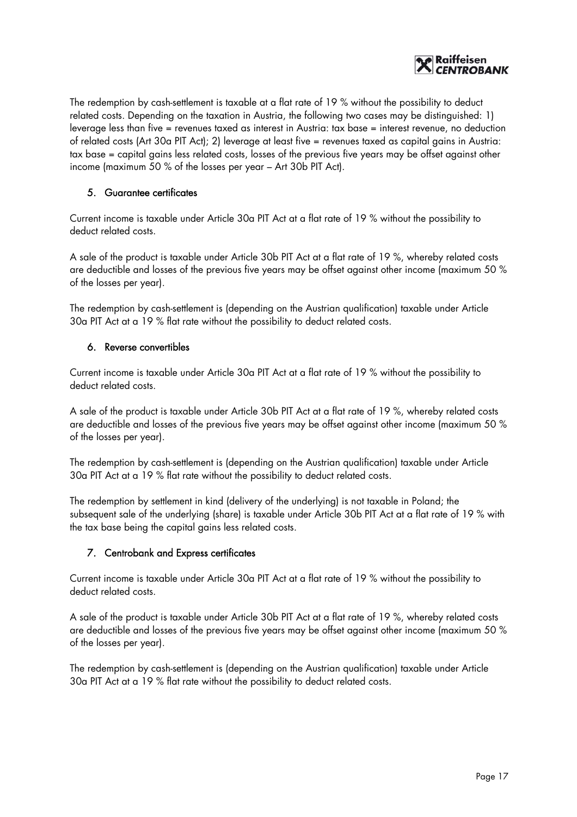

The redemption by cash-settlement is taxable at a flat rate of 19 % without the possibility to deduct related costs. Depending on the taxation in Austria, the following two cases may be distinguished: 1) leverage less than five = revenues taxed as interest in Austria: tax base = interest revenue, no deduction of related costs (Art 30a PIT Act); 2) leverage at least five = revenues taxed as capital gains in Austria: tax base = capital gains less related costs, losses of the previous five years may be offset against other income (maximum 50 % of the losses per year – Art 30b PIT Act).

# 5. Guarantee certificates

Current income is taxable under Article 30a PIT Act at a flat rate of 19 % without the possibility to deduct related costs.

A sale of the product is taxable under Article 30b PIT Act at a flat rate of 19 %, whereby related costs are deductible and losses of the previous five years may be offset against other income (maximum 50 % of the losses per year).

The redemption by cash-settlement is (depending on the Austrian qualification) taxable under Article 30a PIT Act at a 19 % flat rate without the possibility to deduct related costs.

#### 6. Reverse convertibles

Current income is taxable under Article 30a PIT Act at a flat rate of 19 % without the possibility to deduct related costs.

A sale of the product is taxable under Article 30b PIT Act at a flat rate of 19 %, whereby related costs are deductible and losses of the previous five years may be offset against other income (maximum 50 % of the losses per year).

The redemption by cash-settlement is (depending on the Austrian qualification) taxable under Article 30a PIT Act at a 19 % flat rate without the possibility to deduct related costs.

The redemption by settlement in kind (delivery of the underlying) is not taxable in Poland; the subsequent sale of the underlying (share) is taxable under Article 30b PIT Act at a flat rate of 19 % with the tax base being the capital gains less related costs.

# 7. Centrobank and Express certificates

Current income is taxable under Article 30a PIT Act at a flat rate of 19 % without the possibility to deduct related costs.

A sale of the product is taxable under Article 30b PIT Act at a flat rate of 19 %, whereby related costs are deductible and losses of the previous five years may be offset against other income (maximum 50 % of the losses per year).

The redemption by cash-settlement is (depending on the Austrian qualification) taxable under Article 30a PIT Act at a 19 % flat rate without the possibility to deduct related costs.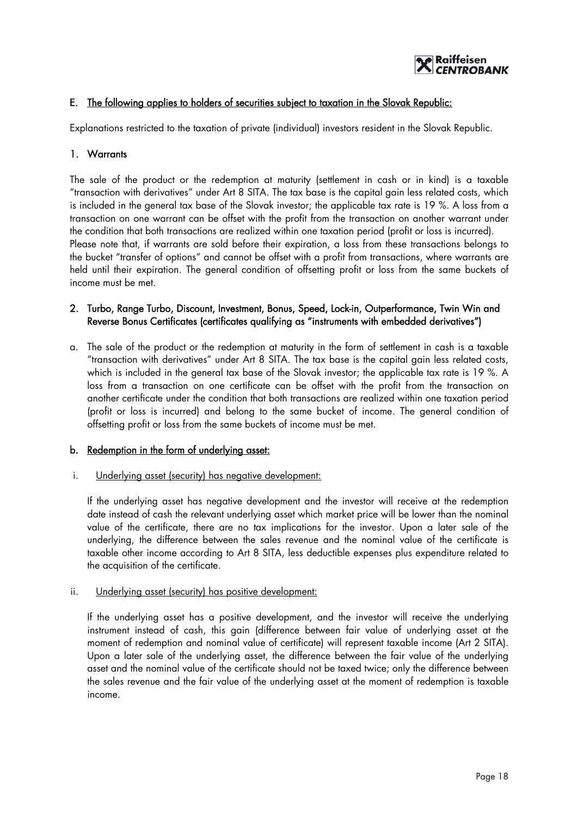

# E. The following applies to holders of securities subject to taxation in the Slovak Republic:

Explanations restricted to the taxation of private (individual) investors resident in the Slovak Republic.

#### 1. Warrants

The sale of the product or the redemption at maturity (settlement in cash or in kind) is a taxable "transaction with derivatives" under Art 8 SITA. The tax base is the capital gain less related costs, which is included in the general tax base of the Slovak investor; the applicable tax rate is 19 %. A loss from a transaction on one warrant can be offset with the profit from the transaction on another warrant under the condition that both transactions are realized within one taxation period (profit or loss is incurred). Please note that, if warrants are sold before their expiration, a loss from these transactions belongs to the bucket "transfer of options" and cannot be offset with a profit from transactions, where warrants are held until their expiration. The general condition of offsetting profit or loss from the same buckets of income must be met.

#### 2. Turbo, Range Turbo, Discount, Investment, Bonus, Speed, Lock-in, Outperformance, Twin Win and Reverse Bonus Certificates (certificates qualifying as "instruments with embedded derivatives")

a. The sale of the product or the redemption at maturity in the form of settlement in cash is a taxable "transaction with derivatives" under Art 8 SITA. The tax base is the capital gain less related costs, which is included in the general tax base of the Slovak investor; the applicable tax rate is 19 %. A loss from a transaction on one certificate can be offset with the profit from the transaction on another certificate under the condition that both transactions are realized within one taxation period (profit or loss is incurred) and belong to the same bucket of income. The general condition of offsetting profit or loss from the same buckets of income must be met.

#### b. Redemption in the form of underlying asset:

i. Underlying asset (security) has negative development:

If the underlying asset has negative development and the investor will receive at the redemption date instead of cash the relevant underlying asset which market price will be lower than the nominal value of the certificate, there are no tax implications for the investor. Upon a later sale of the underlying, the difference between the sales revenue and the nominal value of the certificate is taxable other income according to Art 8 SITA, less deductible expenses plus expenditure related to the acquisition of the certificate.

#### ii. Underlying asset (security) has positive development:

If the underlying asset has a positive development, and the investor will receive the underlying instrument instead of cash, this gain (difference between fair value of underlying asset at the moment of redemption and nominal value of certificate) will represent taxable income (Art 2 SITA). Upon a later sale of the underlying asset, the difference between the fair value of the underlying asset and the nominal value of the certificate should not be taxed twice; only the difference between the sales revenue and the fair value of the underlying asset at the moment of redemption is taxable income.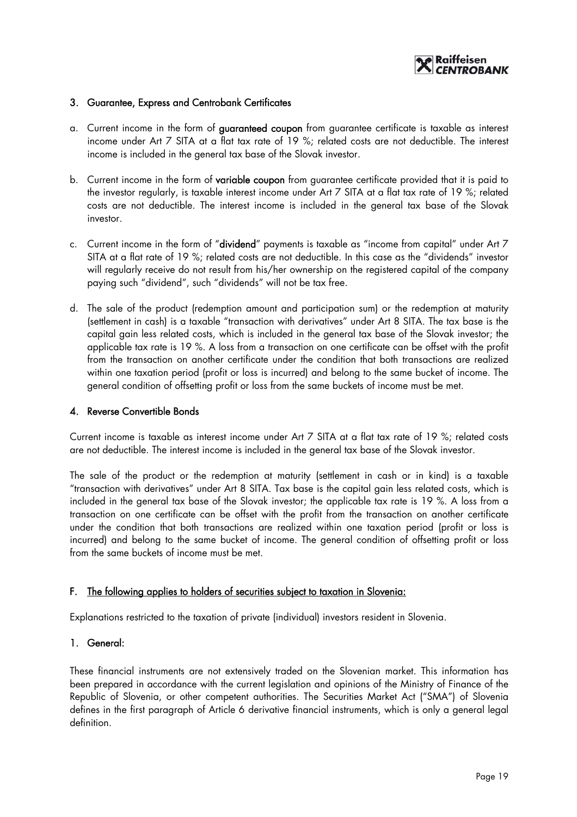

#### 3. Guarantee, Express and Centrobank Certificates

- a. Current income in the form of guaranteed coupon from guarantee certificate is taxable as interest income under Art 7 SITA at a flat tax rate of 19 %; related costs are not deductible. The interest income is included in the general tax base of the Slovak investor.
- b. Current income in the form of variable coupon from guarantee certificate provided that it is paid to the investor regularly, is taxable interest income under Art 7 SITA at a flat tax rate of 19 %; related costs are not deductible. The interest income is included in the general tax base of the Slovak investor.
- c. Current income in the form of "dividend" payments is taxable as "income from capital" under Art 7 SITA at a flat rate of 19 %; related costs are not deductible. In this case as the "dividends" investor will regularly receive do not result from his/her ownership on the registered capital of the company paying such "dividend", such "dividends" will not be tax free.
- d. The sale of the product (redemption amount and participation sum) or the redemption at maturity (settlement in cash) is a taxable "transaction with derivatives" under Art 8 SITA. The tax base is the capital gain less related costs, which is included in the general tax base of the Slovak investor; the applicable tax rate is 19 %. A loss from a transaction on one certificate can be offset with the profit from the transaction on another certificate under the condition that both transactions are realized within one taxation period (profit or loss is incurred) and belong to the same bucket of income. The general condition of offsetting profit or loss from the same buckets of income must be met.

#### 4. Reverse Convertible Bonds

Current income is taxable as interest income under Art 7 SITA at a flat tax rate of 19 %; related costs are not deductible. The interest income is included in the general tax base of the Slovak investor.

The sale of the product or the redemption at maturity (settlement in cash or in kind) is a taxable "transaction with derivatives" under Art 8 SITA. Tax base is the capital gain less related costs, which is included in the general tax base of the Slovak investor; the applicable tax rate is 19 %. A loss from a transaction on one certificate can be offset with the profit from the transaction on another certificate under the condition that both transactions are realized within one taxation period (profit or loss is incurred) and belong to the same bucket of income. The general condition of offsetting profit or loss from the same buckets of income must be met.

#### F. The following applies to holders of securities subject to taxation in Slovenia:

Explanations restricted to the taxation of private (individual) investors resident in Slovenia.

#### 1. General:

These financial instruments are not extensively traded on the Slovenian market. This information has been prepared in accordance with the current legislation and opinions of the Ministry of Finance of the Republic of Slovenia, or other competent authorities. The Securities Market Act ("SMA") of Slovenia defines in the first paragraph of Article 6 derivative financial instruments, which is only a general legal definition.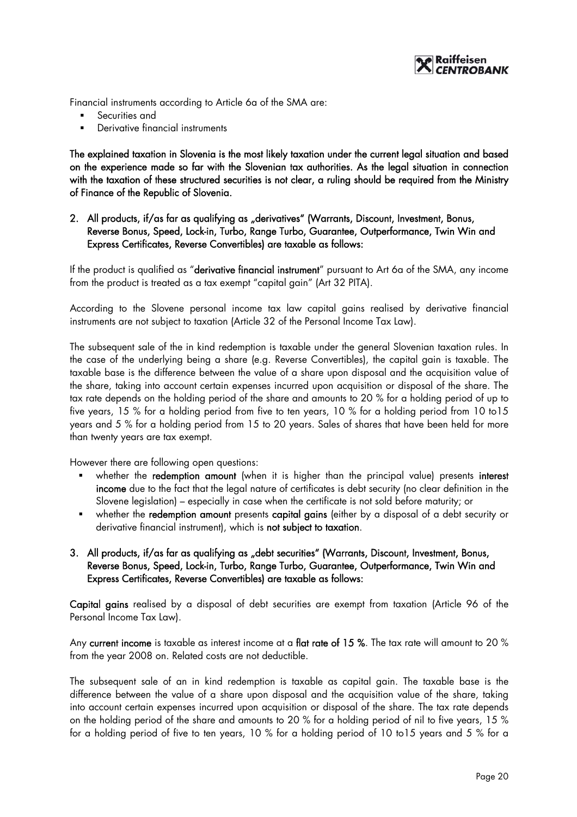

Financial instruments according to Article 6a of the SMA are:

- Securities and
- Derivative financial instruments

The explained taxation in Slovenia is the most likely taxation under the current legal situation and based on the experience made so far with the Slovenian tax authorities. As the legal situation in connection with the taxation of these structured securities is not clear, a ruling should be required from the Ministry of Finance of the Republic of Slovenia.

# 2. All products, if/as far as qualifying as "derivatives" (Warrants, Discount, Investment, Bonus, Reverse Bonus, Speed, Lock-in, Turbo, Range Turbo, Guarantee, Outperformance, Twin Win and Express Certificates, Reverse Convertibles) are taxable as follows:

If the product is qualified as "derivative financial instrument" pursuant to Art 6a of the SMA, any income from the product is treated as a tax exempt "capital gain" (Art 32 PITA).

According to the Slovene personal income tax law capital gains realised by derivative financial instruments are not subject to taxation (Article 32 of the Personal Income Tax Law).

The subsequent sale of the in kind redemption is taxable under the general Slovenian taxation rules. In the case of the underlying being a share (e.g. Reverse Convertibles), the capital gain is taxable. The taxable base is the difference between the value of a share upon disposal and the acquisition value of the share, taking into account certain expenses incurred upon acquisition or disposal of the share. The tax rate depends on the holding period of the share and amounts to 20 % for a holding period of up to five years, 15 % for a holding period from five to ten years, 10 % for a holding period from 10 to15 years and 5 % for a holding period from 15 to 20 years. Sales of shares that have been held for more than twenty years are tax exempt.

However there are following open questions:

- whether the redemption amount (when it is higher than the principal value) presents interest income due to the fact that the legal nature of certificates is debt security (no clear definition in the Slovene legislation) – especially in case when the certificate is not sold before maturity; or
- whether the redemption amount presents capital gains (either by a disposal of a debt security or derivative financial instrument), which is not subject to taxation.

# 3. All products, if/as far as qualifying as "debt securities" (Warrants, Discount, Investment, Bonus, Reverse Bonus, Speed, Lock-in, Turbo, Range Turbo, Guarantee, Outperformance, Twin Win and Express Certificates, Reverse Convertibles) are taxable as follows:

Capital gains realised by a disposal of debt securities are exempt from taxation (Article 96 of the Personal Income Tax Law).

Any current income is taxable as interest income at a flat rate of 15 %. The tax rate will amount to 20 % from the year 2008 on. Related costs are not deductible.

The subsequent sale of an in kind redemption is taxable as capital gain. The taxable base is the difference between the value of a share upon disposal and the acquisition value of the share, taking into account certain expenses incurred upon acquisition or disposal of the share. The tax rate depends on the holding period of the share and amounts to 20 % for a holding period of nil to five years, 15 % for a holding period of five to ten years, 10 % for a holding period of 10 to15 years and 5 % for a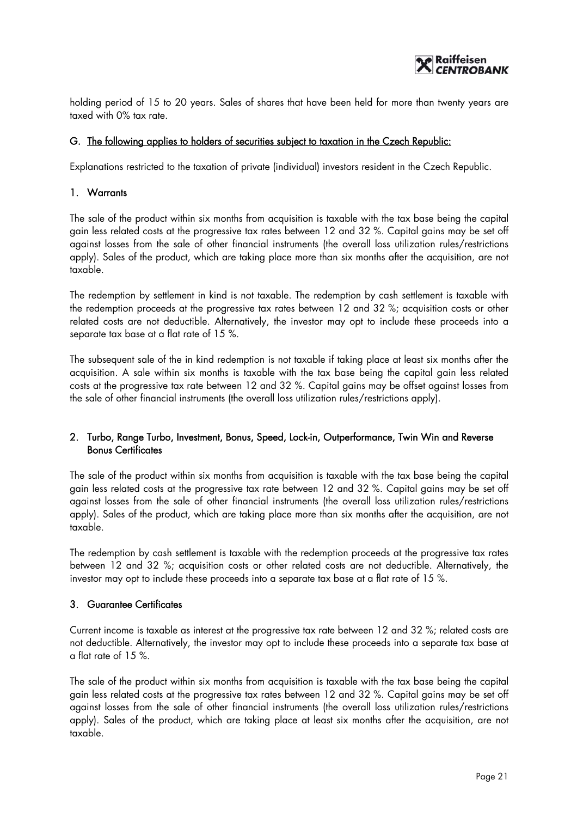

holding period of 15 to 20 years. Sales of shares that have been held for more than twenty years are taxed with 0% tax rate.

#### G. The following applies to holders of securities subject to taxation in the Czech Republic:

Explanations restricted to the taxation of private (individual) investors resident in the Czech Republic.

#### 1. Warrants

The sale of the product within six months from acquisition is taxable with the tax base being the capital gain less related costs at the progressive tax rates between 12 and 32 %. Capital gains may be set off against losses from the sale of other financial instruments (the overall loss utilization rules/restrictions apply). Sales of the product, which are taking place more than six months after the acquisition, are not taxable.

The redemption by settlement in kind is not taxable. The redemption by cash settlement is taxable with the redemption proceeds at the progressive tax rates between 12 and 32 %; acquisition costs or other related costs are not deductible. Alternatively, the investor may opt to include these proceeds into a separate tax base at a flat rate of 15 %.

The subsequent sale of the in kind redemption is not taxable if taking place at least six months after the acquisition. A sale within six months is taxable with the tax base being the capital gain less related costs at the progressive tax rate between 12 and 32 %. Capital gains may be offset against losses from the sale of other financial instruments (the overall loss utilization rules/restrictions apply).

# 2. Turbo, Range Turbo, Investment, Bonus, Speed, Lock-in, Outperformance, Twin Win and Reverse Bonus Certificates

The sale of the product within six months from acquisition is taxable with the tax base being the capital gain less related costs at the progressive tax rate between 12 and 32 %. Capital gains may be set off against losses from the sale of other financial instruments (the overall loss utilization rules/restrictions apply). Sales of the product, which are taking place more than six months after the acquisition, are not taxable.

The redemption by cash settlement is taxable with the redemption proceeds at the progressive tax rates between 12 and 32 %; acquisition costs or other related costs are not deductible. Alternatively, the investor may opt to include these proceeds into a separate tax base at a flat rate of 15 %.

# 3. Guarantee Certificates

Current income is taxable as interest at the progressive tax rate between 12 and 32 %; related costs are not deductible. Alternatively, the investor may opt to include these proceeds into a separate tax base at a flat rate of 15 %.

The sale of the product within six months from acquisition is taxable with the tax base being the capital gain less related costs at the progressive tax rates between 12 and 32 %. Capital gains may be set off against losses from the sale of other financial instruments (the overall loss utilization rules/restrictions apply). Sales of the product, which are taking place at least six months after the acquisition, are not taxable.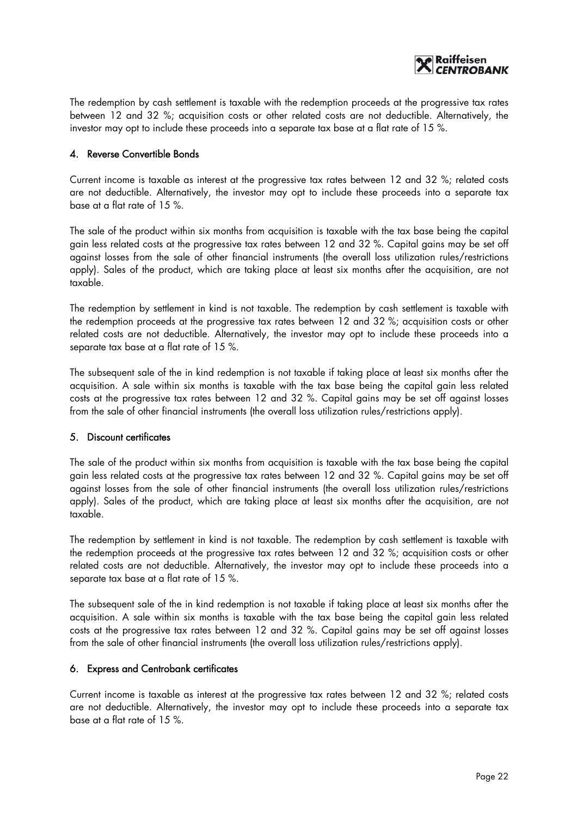

The redemption by cash settlement is taxable with the redemption proceeds at the progressive tax rates between 12 and 32 %; acquisition costs or other related costs are not deductible. Alternatively, the investor may opt to include these proceeds into a separate tax base at a flat rate of 15 %.

# 4. Reverse Convertible Bonds

Current income is taxable as interest at the progressive tax rates between 12 and 32 %; related costs are not deductible. Alternatively, the investor may opt to include these proceeds into a separate tax base at a flat rate of 15 %.

The sale of the product within six months from acquisition is taxable with the tax base being the capital gain less related costs at the progressive tax rates between 12 and 32 %. Capital gains may be set off against losses from the sale of other financial instruments (the overall loss utilization rules/restrictions apply). Sales of the product, which are taking place at least six months after the acquisition, are not taxable.

The redemption by settlement in kind is not taxable. The redemption by cash settlement is taxable with the redemption proceeds at the progressive tax rates between 12 and 32 %; acquisition costs or other related costs are not deductible. Alternatively, the investor may opt to include these proceeds into a separate tax base at a flat rate of 15 %.

The subsequent sale of the in kind redemption is not taxable if taking place at least six months after the acquisition. A sale within six months is taxable with the tax base being the capital gain less related costs at the progressive tax rates between 12 and 32 %. Capital gains may be set off against losses from the sale of other financial instruments (the overall loss utilization rules/restrictions apply).

#### 5. Discount certificates

The sale of the product within six months from acquisition is taxable with the tax base being the capital gain less related costs at the progressive tax rates between 12 and 32 %. Capital gains may be set off against losses from the sale of other financial instruments (the overall loss utilization rules/restrictions apply). Sales of the product, which are taking place at least six months after the acquisition, are not taxable.

The redemption by settlement in kind is not taxable. The redemption by cash settlement is taxable with the redemption proceeds at the progressive tax rates between 12 and 32 %; acquisition costs or other related costs are not deductible. Alternatively, the investor may opt to include these proceeds into a separate tax base at a flat rate of 15 %.

The subsequent sale of the in kind redemption is not taxable if taking place at least six months after the acquisition. A sale within six months is taxable with the tax base being the capital gain less related costs at the progressive tax rates between 12 and 32 %. Capital gains may be set off against losses from the sale of other financial instruments (the overall loss utilization rules/restrictions apply).

#### 6. Express and Centrobank certificates

Current income is taxable as interest at the progressive tax rates between 12 and 32 %; related costs are not deductible. Alternatively, the investor may opt to include these proceeds into a separate tax base at a flat rate of 15 %.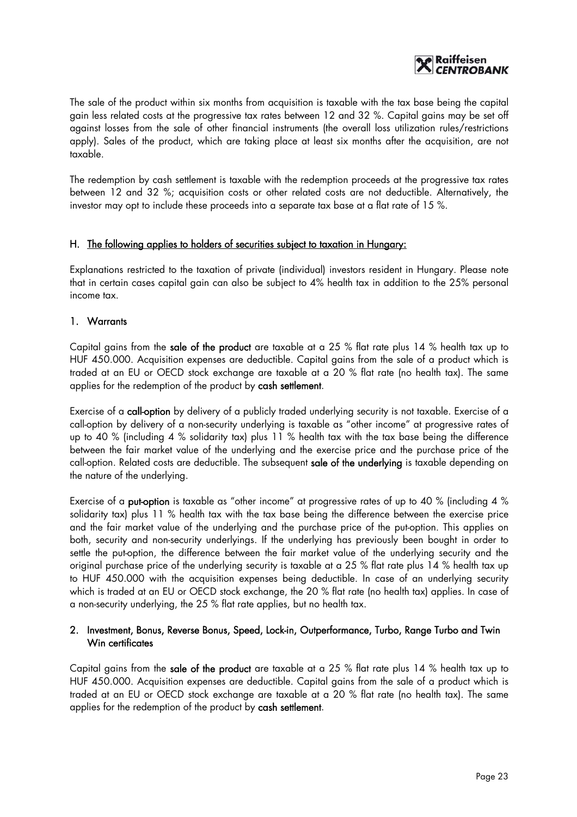

The sale of the product within six months from acquisition is taxable with the tax base being the capital gain less related costs at the progressive tax rates between 12 and 32 %. Capital gains may be set off against losses from the sale of other financial instruments (the overall loss utilization rules/restrictions apply). Sales of the product, which are taking place at least six months after the acquisition, are not taxable.

The redemption by cash settlement is taxable with the redemption proceeds at the progressive tax rates between 12 and 32 %; acquisition costs or other related costs are not deductible. Alternatively, the investor may opt to include these proceeds into a separate tax base at a flat rate of 15 %.

#### H. The following applies to holders of securities subject to taxation in Hungary:

Explanations restricted to the taxation of private (individual) investors resident in Hungary. Please note that in certain cases capital gain can also be subject to 4% health tax in addition to the 25% personal income tax.

#### 1. Warrants

Capital gains from the sale of the product are taxable at a 25 % flat rate plus 14 % health tax up to HUF 450.000. Acquisition expenses are deductible. Capital gains from the sale of a product which is traded at an EU or OECD stock exchange are taxable at a 20 % flat rate (no health tax). The same applies for the redemption of the product by cash settlement.

Exercise of a call-option by delivery of a publicly traded underlying security is not taxable. Exercise of a call-option by delivery of a non-security underlying is taxable as "other income" at progressive rates of up to 40 % (including 4 % solidarity tax) plus 11 % health tax with the tax base being the difference between the fair market value of the underlying and the exercise price and the purchase price of the call-option. Related costs are deductible. The subsequent sale of the underlying is taxable depending on the nature of the underlying.

Exercise of a put-option is taxable as "other income" at progressive rates of up to 40 % (including 4 % solidarity tax) plus 11 % health tax with the tax base being the difference between the exercise price and the fair market value of the underlying and the purchase price of the put-option. This applies on both, security and non-security underlyings. If the underlying has previously been bought in order to settle the put-option, the difference between the fair market value of the underlying security and the original purchase price of the underlying security is taxable at a 25 % flat rate plus 14 % health tax up to HUF 450.000 with the acquisition expenses being deductible. In case of an underlying security which is traded at an EU or OECD stock exchange, the 20 % flat rate (no health tax) applies. In case of a non-security underlying, the 25 % flat rate applies, but no health tax.

#### 2. Investment, Bonus, Reverse Bonus, Speed, Lock-in, Outperformance, Turbo, Range Turbo and Twin Win certificates

Capital gains from the sale of the product are taxable at a 25 % flat rate plus 14 % health tax up to HUF 450.000. Acquisition expenses are deductible. Capital gains from the sale of a product which is traded at an EU or OECD stock exchange are taxable at a 20 % flat rate (no health tax). The same applies for the redemption of the product by cash settlement.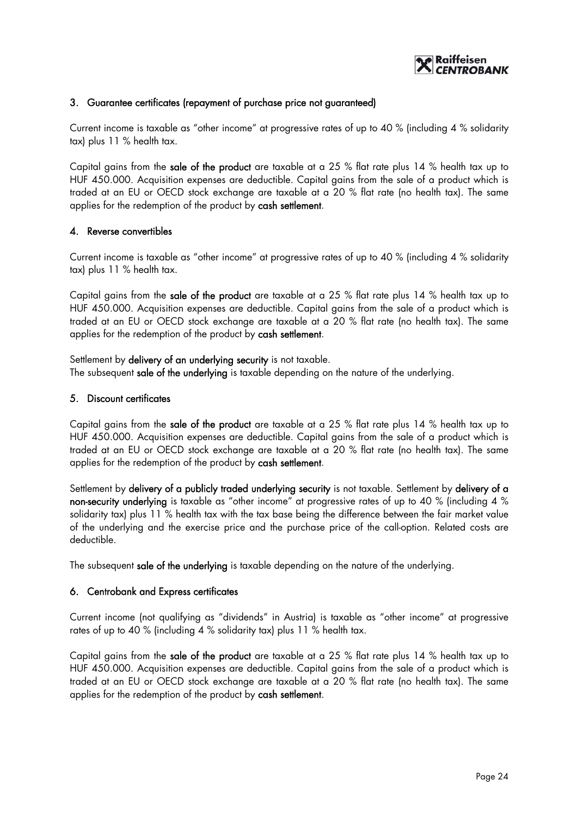

#### 3. Guarantee certificates (repayment of purchase price not guaranteed)

Current income is taxable as "other income" at progressive rates of up to 40 % (including 4 % solidarity tax) plus 11 % health tax.

Capital gains from the sale of the product are taxable at a 25 % flat rate plus 14 % health tax up to HUF 450.000. Acquisition expenses are deductible. Capital gains from the sale of a product which is traded at an EU or OECD stock exchange are taxable at a 20 % flat rate (no health tax). The same applies for the redemption of the product by cash settlement.

#### 4. Reverse convertibles

Current income is taxable as "other income" at progressive rates of up to 40 % (including 4 % solidarity tax) plus 11 % health tax.

Capital gains from the sale of the product are taxable at a 25 % flat rate plus 14 % health tax up to HUF 450.000. Acquisition expenses are deductible. Capital gains from the sale of a product which is traded at an EU or OECD stock exchange are taxable at a 20 % flat rate (no health tax). The same applies for the redemption of the product by cash settlement.

Settlement by delivery of an underlying security is not taxable. The subsequent sale of the underlying is taxable depending on the nature of the underlying.

#### 5. Discount certificates

Capital gains from the sale of the product are taxable at a 25 % flat rate plus 14 % health tax up to HUF 450.000. Acquisition expenses are deductible. Capital gains from the sale of a product which is traded at an EU or OECD stock exchange are taxable at a 20 % flat rate (no health tax). The same applies for the redemption of the product by cash settlement.

Settlement by delivery of a publicly traded underlying security is not taxable. Settlement by delivery of a non-security underlying is taxable as "other income" at progressive rates of up to 40 % (including 4 % solidarity tax) plus 11 % health tax with the tax base being the difference between the fair market value of the underlying and the exercise price and the purchase price of the call-option. Related costs are deductible.

The subsequent sale of the underlying is taxable depending on the nature of the underlying.

#### 6. Centrobank and Express certificates

Current income (not qualifying as "dividends" in Austria) is taxable as "other income" at progressive rates of up to 40 % (including 4 % solidarity tax) plus 11 % health tax.

Capital gains from the sale of the product are taxable at a 25 % flat rate plus 14 % health tax up to HUF 450.000. Acquisition expenses are deductible. Capital gains from the sale of a product which is traded at an EU or OECD stock exchange are taxable at a 20 % flat rate (no health tax). The same applies for the redemption of the product by cash settlement.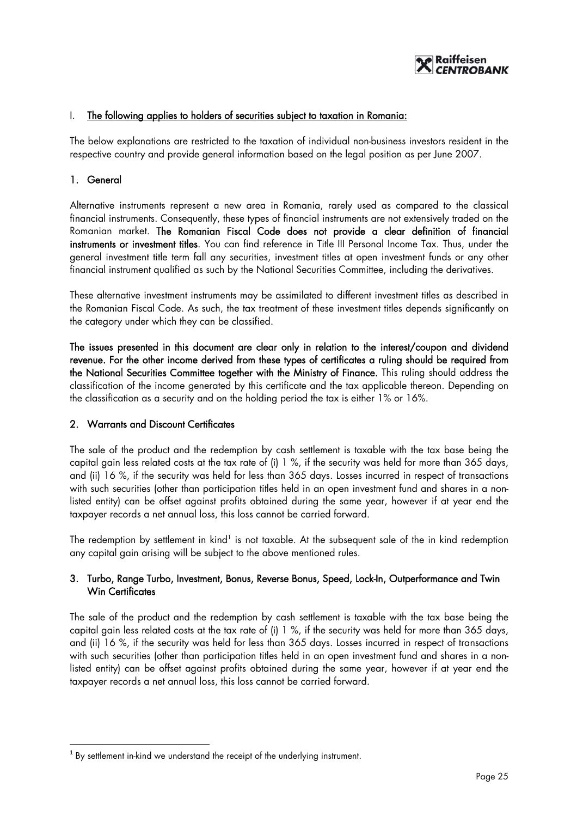

#### I. The following applies to holders of securities subject to taxation in Romania:

The below explanations are restricted to the taxation of individual non-business investors resident in the respective country and provide general information based on the legal position as per June 2007.

#### 1. General

 $\overline{a}$ 

Alternative instruments represent a new area in Romania, rarely used as compared to the classical financial instruments. Consequently, these types of financial instruments are not extensively traded on the Romanian market. The Romanian Fiscal Code does not provide a clear definition of financial instruments or investment titles. You can find reference in Title III Personal Income Tax. Thus, under the general investment title term fall any securities, investment titles at open investment funds or any other financial instrument qualified as such by the National Securities Committee, including the derivatives.

These alternative investment instruments may be assimilated to different investment titles as described in the Romanian Fiscal Code. As such, the tax treatment of these investment titles depends significantly on the category under which they can be classified.

The issues presented in this document are clear only in relation to the interest/coupon and dividend revenue. For the other income derived from these types of certificates a ruling should be required from the National Securities Committee together with the Ministry of Finance. This ruling should address the classification of the income generated by this certificate and the tax applicable thereon. Depending on the classification as a security and on the holding period the tax is either 1% or 16%.

#### 2. Warrants and Discount Certificates

The sale of the product and the redemption by cash settlement is taxable with the tax base being the capital gain less related costs at the tax rate of (i) 1 %, if the security was held for more than 365 days, and (ii) 16 %, if the security was held for less than 365 days. Losses incurred in respect of transactions with such securities (other than participation titles held in an open investment fund and shares in a nonlisted entity) can be offset against profits obtained during the same year, however if at year end the taxpayer records a net annual loss, this loss cannot be carried forward.

The redemption by settlement in kind<sup>1</sup> is not taxable. At the subsequent sale of the in kind redemption any capital gain arising will be subject to the above mentioned rules.

# 3. Turbo, Range Turbo, Investment, Bonus, Reverse Bonus, Speed, Lock-In, Outperformance and Twin Win Certificates

The sale of the product and the redemption by cash settlement is taxable with the tax base being the capital gain less related costs at the tax rate of (i) 1 %, if the security was held for more than 365 days, and (ii) 16 %, if the security was held for less than 365 days. Losses incurred in respect of transactions with such securities (other than participation titles held in an open investment fund and shares in a nonlisted entity) can be offset against profits obtained during the same year, however if at year end the taxpayer records a net annual loss, this loss cannot be carried forward.

 $1$  By settlement in-kind we understand the receipt of the underlying instrument.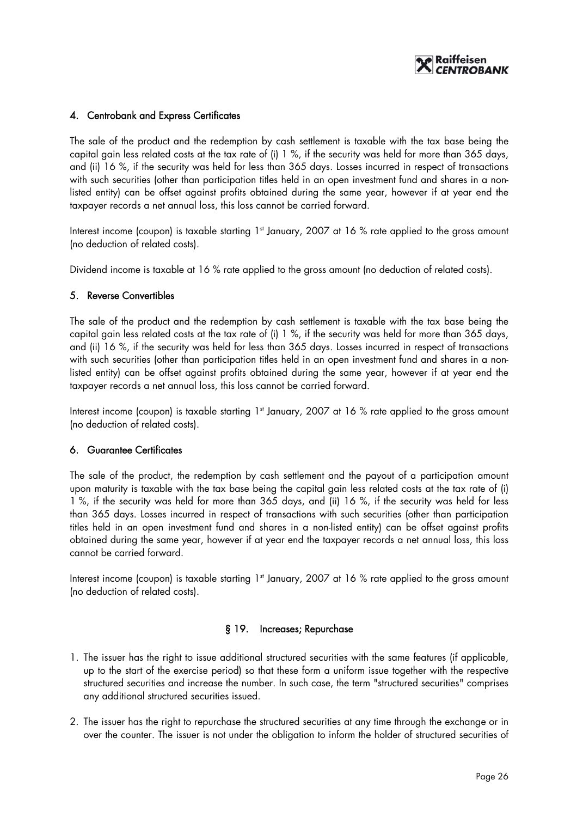

#### 4. Centrobank and Express Certificates

The sale of the product and the redemption by cash settlement is taxable with the tax base being the capital gain less related costs at the tax rate of (i) 1 %, if the security was held for more than 365 days, and (ii) 16 %, if the security was held for less than 365 days. Losses incurred in respect of transactions with such securities (other than participation titles held in an open investment fund and shares in a nonlisted entity) can be offset against profits obtained during the same year, however if at year end the taxpayer records a net annual loss, this loss cannot be carried forward.

Interest income (coupon) is taxable starting  $1<sup>st</sup>$  January, 2007 at 16 % rate applied to the gross amount (no deduction of related costs).

Dividend income is taxable at 16 % rate applied to the gross amount (no deduction of related costs).

#### 5. Reverse Convertibles

The sale of the product and the redemption by cash settlement is taxable with the tax base being the capital gain less related costs at the tax rate of (i) 1 %, if the security was held for more than 365 days, and (ii) 16 %, if the security was held for less than 365 days. Losses incurred in respect of transactions with such securities (other than participation titles held in an open investment fund and shares in a nonlisted entity) can be offset against profits obtained during the same year, however if at year end the taxpayer records a net annual loss, this loss cannot be carried forward.

Interest income (coupon) is taxable starting 1<sup>st</sup> January, 2007 at 16 % rate applied to the gross amount (no deduction of related costs).

#### 6. Guarantee Certificates

The sale of the product, the redemption by cash settlement and the payout of a participation amount upon maturity is taxable with the tax base being the capital gain less related costs at the tax rate of (i) 1 %, if the security was held for more than 365 days, and (ii) 16 %, if the security was held for less than 365 days. Losses incurred in respect of transactions with such securities (other than participation titles held in an open investment fund and shares in a non-listed entity) can be offset against profits obtained during the same year, however if at year end the taxpayer records a net annual loss, this loss cannot be carried forward.

Interest income (coupon) is taxable starting 1<sup>st</sup> January, 2007 at 16 % rate applied to the gross amount (no deduction of related costs).

#### § 19. Increases; Repurchase

- 1. The issuer has the right to issue additional structured securities with the same features (if applicable, up to the start of the exercise period) so that these form a uniform issue together with the respective structured securities and increase the number. In such case, the term "structured securities" comprises any additional structured securities issued.
- 2. The issuer has the right to repurchase the structured securities at any time through the exchange or in over the counter. The issuer is not under the obligation to inform the holder of structured securities of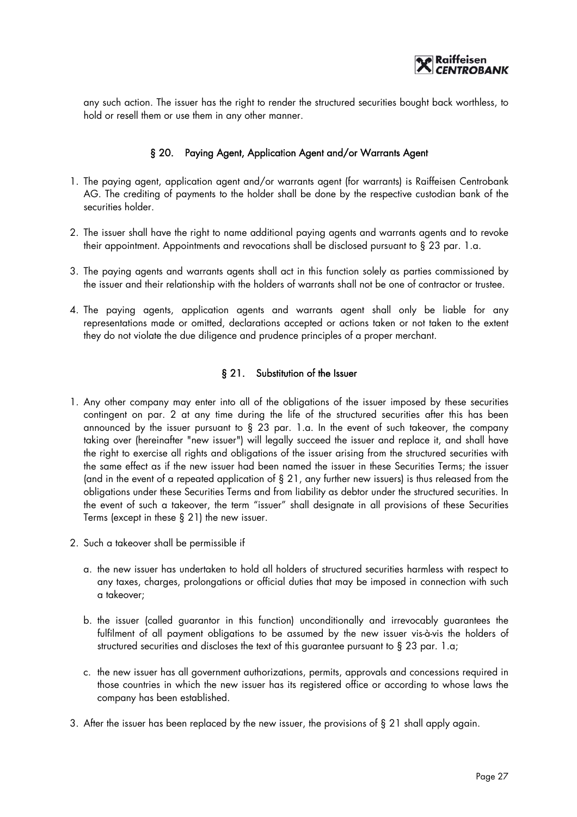

any such action. The issuer has the right to render the structured securities bought back worthless, to hold or resell them or use them in any other manner.

#### § 20. Paying Agent, Application Agent and/or Warrants Agent

- 1. The paying agent, application agent and/or warrants agent (for warrants) is Raiffeisen Centrobank AG. The crediting of payments to the holder shall be done by the respective custodian bank of the securities holder.
- 2. The issuer shall have the right to name additional paying agents and warrants agents and to revoke their appointment. Appointments and revocations shall be disclosed pursuant to § 23 par. 1.a.
- 3. The paying agents and warrants agents shall act in this function solely as parties commissioned by the issuer and their relationship with the holders of warrants shall not be one of contractor or trustee.
- 4. The paying agents, application agents and warrants agent shall only be liable for any representations made or omitted, declarations accepted or actions taken or not taken to the extent they do not violate the due diligence and prudence principles of a proper merchant.

#### § 21. Substitution of the Issuer

- 1. Any other company may enter into all of the obligations of the issuer imposed by these securities contingent on par. 2 at any time during the life of the structured securities after this has been announced by the issuer pursuant to § 23 par. 1.a. In the event of such takeover, the company taking over (hereinafter "new issuer") will legally succeed the issuer and replace it, and shall have the right to exercise all rights and obligations of the issuer arising from the structured securities with the same effect as if the new issuer had been named the issuer in these Securities Terms; the issuer (and in the event of a repeated application of § 21, any further new issuers) is thus released from the obligations under these Securities Terms and from liability as debtor under the structured securities. In the event of such a takeover, the term "issuer" shall designate in all provisions of these Securities Terms (except in these § 21) the new issuer.
- 2. Such a takeover shall be permissible if
	- a. the new issuer has undertaken to hold all holders of structured securities harmless with respect to any taxes, charges, prolongations or official duties that may be imposed in connection with such a takeover;
	- b. the issuer (called guarantor in this function) unconditionally and irrevocably guarantees the fulfilment of all payment obligations to be assumed by the new issuer vis-à-vis the holders of structured securities and discloses the text of this guarantee pursuant to § 23 par. 1.a;
	- c. the new issuer has all government authorizations, permits, approvals and concessions required in those countries in which the new issuer has its registered office or according to whose laws the company has been established.
- 3. After the issuer has been replaced by the new issuer, the provisions of § 21 shall apply again.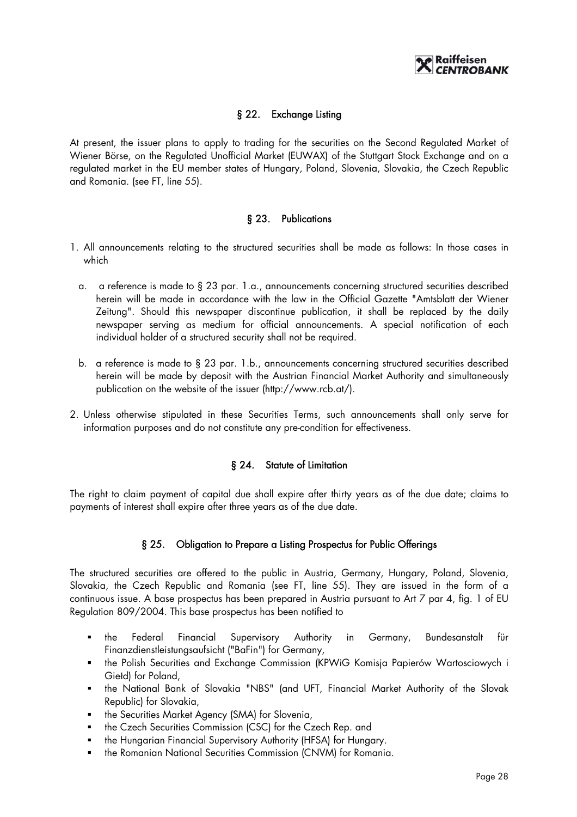

# § 22. Exchange Listing

At present, the issuer plans to apply to trading for the securities on the Second Regulated Market of Wiener Börse, on the Regulated Unofficial Market (EUWAX) of the Stuttgart Stock Exchange and on a regulated market in the EU member states of Hungary, Poland, Slovenia, Slovakia, the Czech Republic and Romania. (see FT, line 55).

#### § 23. Publications

- 1. All announcements relating to the structured securities shall be made as follows: In those cases in which
	- a. a reference is made to § 23 par. 1.a., announcements concerning structured securities described herein will be made in accordance with the law in the Official Gazette "Amtsblatt der Wiener Zeitung". Should this newspaper discontinue publication, it shall be replaced by the daily newspaper serving as medium for official announcements. A special notification of each individual holder of a structured security shall not be required.
	- b. a reference is made to § 23 par. 1.b., announcements concerning structured securities described herein will be made by deposit with the Austrian Financial Market Authority and simultaneously publication on the website of the issuer (http://www.rcb.at/).
- 2. Unless otherwise stipulated in these Securities Terms, such announcements shall only serve for information purposes and do not constitute any pre-condition for effectiveness.

# § 24. Statute of Limitation

The right to claim payment of capital due shall expire after thirty years as of the due date; claims to payments of interest shall expire after three years as of the due date.

# § 25. Obligation to Prepare a Listing Prospectus for Public Offerings

The structured securities are offered to the public in Austria, Germany, Hungary, Poland, Slovenia, Slovakia, the Czech Republic and Romania (see FT, line 55). They are issued in the form of a continuous issue. A base prospectus has been prepared in Austria pursuant to Art 7 par 4, fig. 1 of EU Regulation 809/2004. This base prospectus has been notified to

- the Federal Financial Supervisory Authority in Germany, Bundesanstalt für Finanzdienstleistungsaufsicht ("BaFin") for Germany,
- the Polish Securities and Exchange Commission (KPWiG Komisja Papierów Wartosciowych i Giełd) for Poland,
- the National Bank of Slovakia "NBS" (and UFT, Financial Market Authority of the Slovak Republic) for Slovakia,
- the Securities Market Agency (SMA) for Slovenia,
- **•** the Czech Securities Commission (CSC) for the Czech Rep. and
- **the Hungarian Financial Supervisory Authority (HFSA) for Hungary.**
- **the Romanian National Securities Commission (CNVM) for Romania.**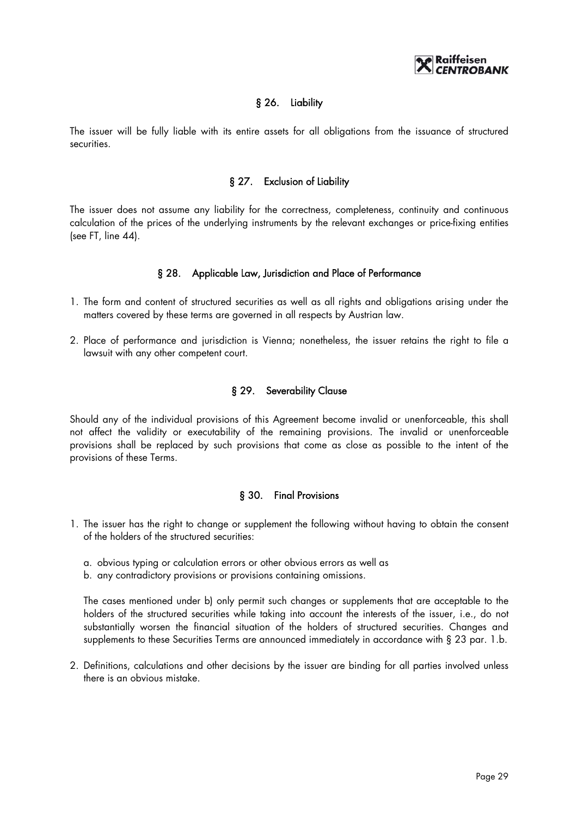

# § 26. Liability

The issuer will be fully liable with its entire assets for all obligations from the issuance of structured securities.

#### § 27. Exclusion of Liability

The issuer does not assume any liability for the correctness, completeness, continuity and continuous calculation of the prices of the underlying instruments by the relevant exchanges or price-fixing entities (see FT, line 44).

#### § 28. Applicable Law, Jurisdiction and Place of Performance

- 1. The form and content of structured securities as well as all rights and obligations arising under the matters covered by these terms are governed in all respects by Austrian law.
- 2. Place of performance and jurisdiction is Vienna; nonetheless, the issuer retains the right to file a lawsuit with any other competent court.

#### § 29. Severability Clause

Should any of the individual provisions of this Agreement become invalid or unenforceable, this shall not affect the validity or executability of the remaining provisions. The invalid or unenforceable provisions shall be replaced by such provisions that come as close as possible to the intent of the provisions of these Terms.

#### § 30. Final Provisions

- 1. The issuer has the right to change or supplement the following without having to obtain the consent of the holders of the structured securities:
	- a. obvious typing or calculation errors or other obvious errors as well as
	- b. any contradictory provisions or provisions containing omissions.

The cases mentioned under b) only permit such changes or supplements that are acceptable to the holders of the structured securities while taking into account the interests of the issuer, i.e., do not substantially worsen the financial situation of the holders of structured securities. Changes and supplements to these Securities Terms are announced immediately in accordance with § 23 par. 1.b.

2. Definitions, calculations and other decisions by the issuer are binding for all parties involved unless there is an obvious mistake.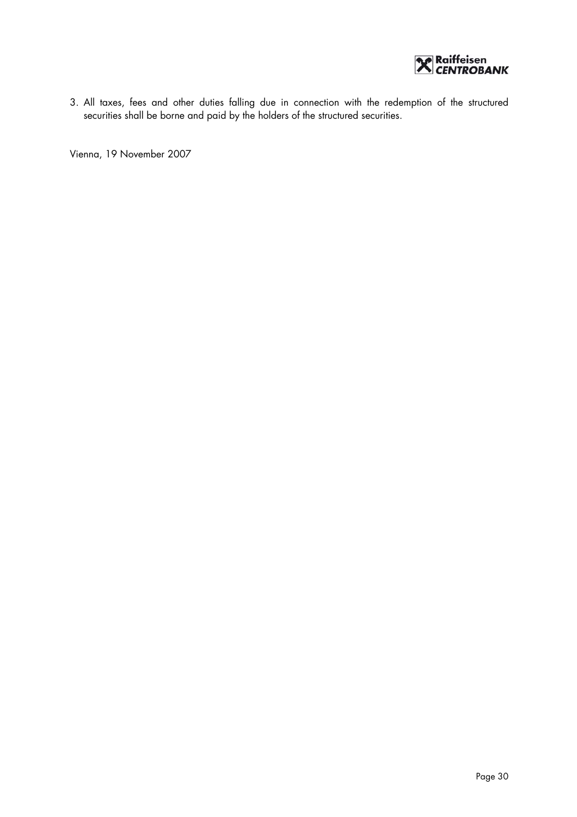

3. All taxes, fees and other duties falling due in connection with the redemption of the structured securities shall be borne and paid by the holders of the structured securities.

Vienna, 19 November 2007